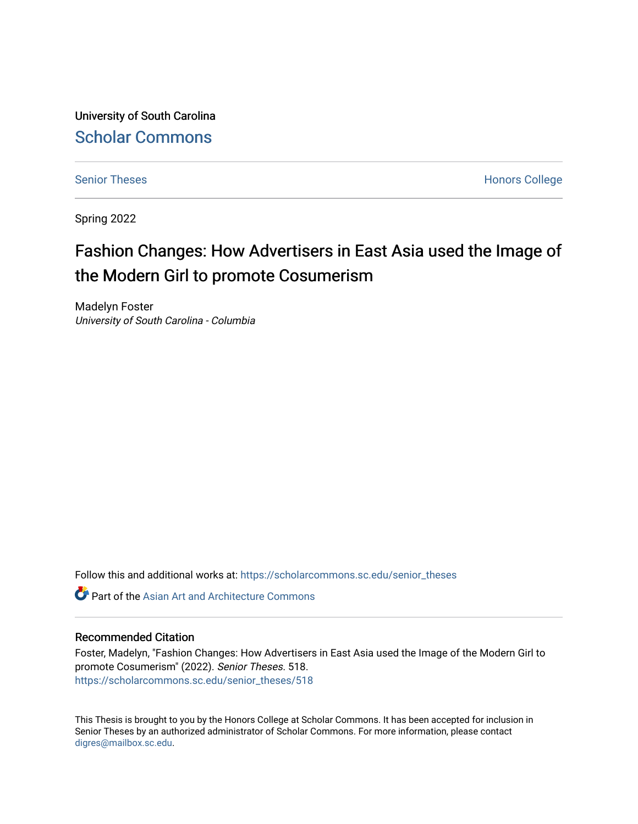University of South Carolina [Scholar Commons](https://scholarcommons.sc.edu/) 

[Senior Theses](https://scholarcommons.sc.edu/senior_theses) **Honors College** Honors College

Spring 2022

# Fashion Changes: How Advertisers in East Asia used the Image of the Modern Girl to promote Cosumerism

Madelyn Foster University of South Carolina - Columbia

Follow this and additional works at: [https://scholarcommons.sc.edu/senior\\_theses](https://scholarcommons.sc.edu/senior_theses?utm_source=scholarcommons.sc.edu%2Fsenior_theses%2F518&utm_medium=PDF&utm_campaign=PDFCoverPages) 

**C** Part of the [Asian Art and Architecture Commons](http://network.bepress.com/hgg/discipline/513?utm_source=scholarcommons.sc.edu%2Fsenior_theses%2F518&utm_medium=PDF&utm_campaign=PDFCoverPages)

#### Recommended Citation

Foster, Madelyn, "Fashion Changes: How Advertisers in East Asia used the Image of the Modern Girl to promote Cosumerism" (2022). Senior Theses. 518. [https://scholarcommons.sc.edu/senior\\_theses/518](https://scholarcommons.sc.edu/senior_theses/518?utm_source=scholarcommons.sc.edu%2Fsenior_theses%2F518&utm_medium=PDF&utm_campaign=PDFCoverPages) 

This Thesis is brought to you by the Honors College at Scholar Commons. It has been accepted for inclusion in Senior Theses by an authorized administrator of Scholar Commons. For more information, please contact [digres@mailbox.sc.edu](mailto:digres@mailbox.sc.edu).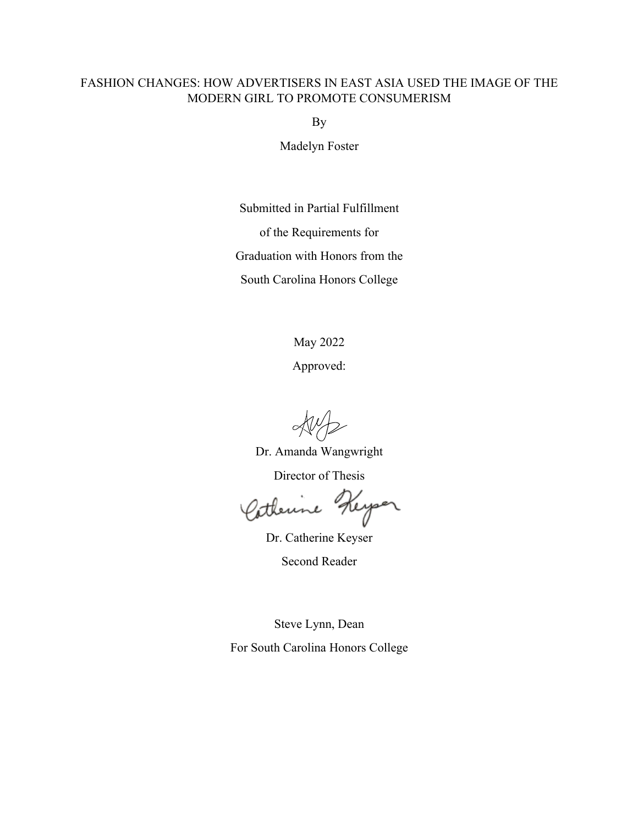### FASHION CHANGES: HOW ADVERTISERS IN EAST ASIA USED THE IMAGE OF THE MODERN GIRL TO PROMOTE CONSUMERISM

By

Madelyn Foster

Submitted in Partial Fulfillment

of the Requirements for

Graduation with Honors from the

South Carolina Honors College

May 2022

Approved:

Dr. Amanda Wangwright

Director of Thesis

Keyser Satherine

Dr. Catherine Keyser

Second Reader

Steve Lynn, Dean

For South Carolina Honors College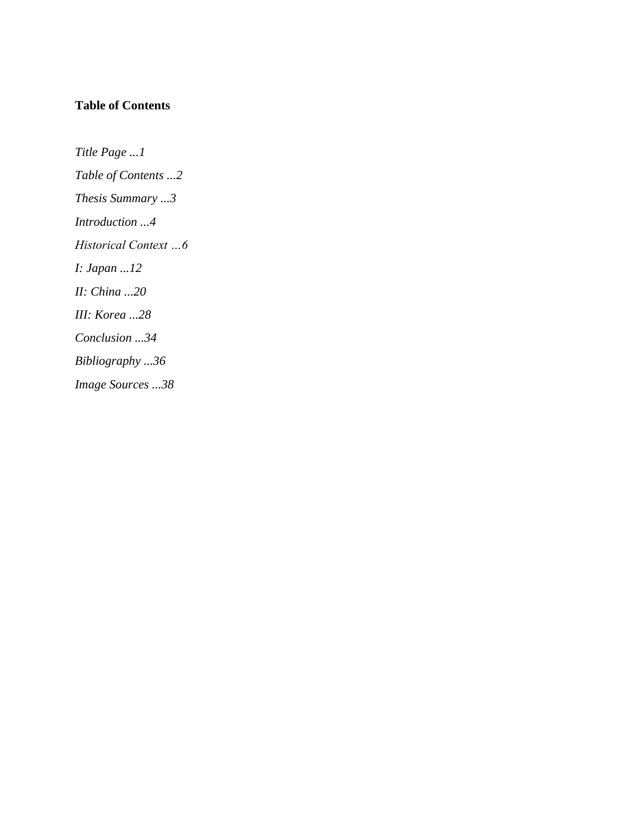# **Table of Contents**

*Title Page ...1 Table of Contents ...2 Thesis Summary ...3 Introduction ...4 Historical Context …6 I: Japan ...12 II: China ...20 III: Korea ...28 Conclusion ...34 Bibliography ...36 Image Sources ...38*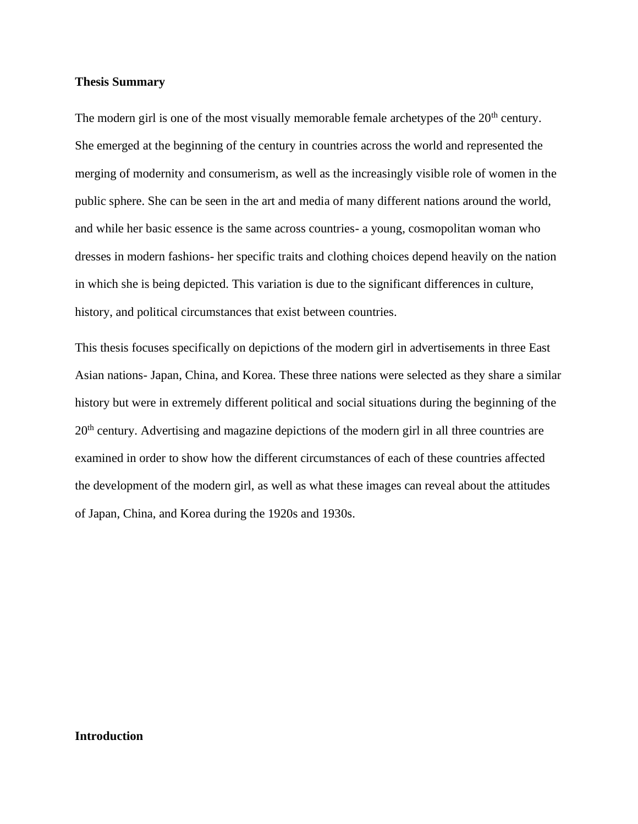#### **Thesis Summary**

The modern girl is one of the most visually memorable female archetypes of the  $20<sup>th</sup>$  century. She emerged at the beginning of the century in countries across the world and represented the merging of modernity and consumerism, as well as the increasingly visible role of women in the public sphere. She can be seen in the art and media of many different nations around the world, and while her basic essence is the same across countries- a young, cosmopolitan woman who dresses in modern fashions- her specific traits and clothing choices depend heavily on the nation in which she is being depicted. This variation is due to the significant differences in culture, history, and political circumstances that exist between countries.

This thesis focuses specifically on depictions of the modern girl in advertisements in three East Asian nations- Japan, China, and Korea. These three nations were selected as they share a similar history but were in extremely different political and social situations during the beginning of the 20<sup>th</sup> century. Advertising and magazine depictions of the modern girl in all three countries are examined in order to show how the different circumstances of each of these countries affected the development of the modern girl, as well as what these images can reveal about the attitudes of Japan, China, and Korea during the 1920s and 1930s.

#### **Introduction**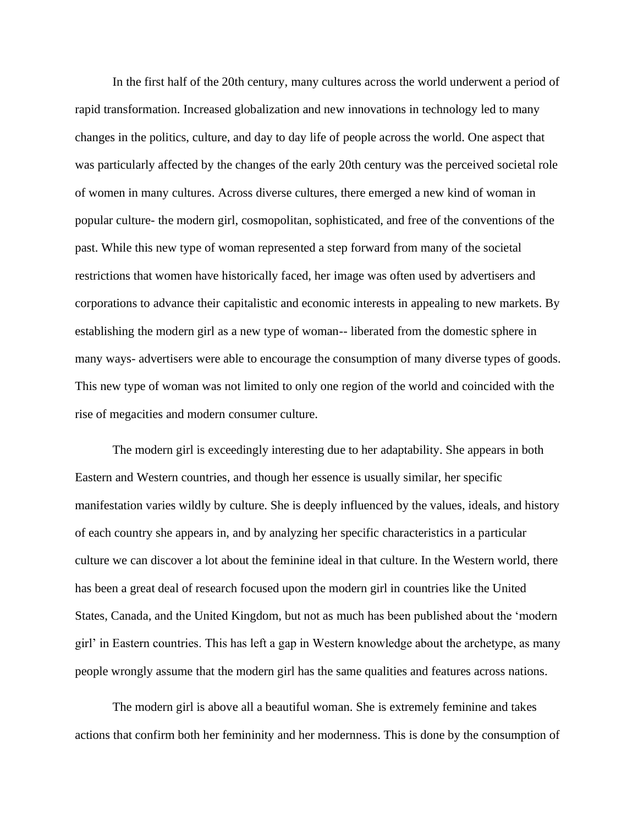In the first half of the 20th century, many cultures across the world underwent a period of rapid transformation. Increased globalization and new innovations in technology led to many changes in the politics, culture, and day to day life of people across the world. One aspect that was particularly affected by the changes of the early 20th century was the perceived societal role of women in many cultures. Across diverse cultures, there emerged a new kind of woman in popular culture- the modern girl, cosmopolitan, sophisticated, and free of the conventions of the past. While this new type of woman represented a step forward from many of the societal restrictions that women have historically faced, her image was often used by advertisers and corporations to advance their capitalistic and economic interests in appealing to new markets. By establishing the modern girl as a new type of woman-- liberated from the domestic sphere in many ways- advertisers were able to encourage the consumption of many diverse types of goods. This new type of woman was not limited to only one region of the world and coincided with the rise of megacities and modern consumer culture.

The modern girl is exceedingly interesting due to her adaptability. She appears in both Eastern and Western countries, and though her essence is usually similar, her specific manifestation varies wildly by culture. She is deeply influenced by the values, ideals, and history of each country she appears in, and by analyzing her specific characteristics in a particular culture we can discover a lot about the feminine ideal in that culture. In the Western world, there has been a great deal of research focused upon the modern girl in countries like the United States, Canada, and the United Kingdom, but not as much has been published about the 'modern girl' in Eastern countries. This has left a gap in Western knowledge about the archetype, as many people wrongly assume that the modern girl has the same qualities and features across nations.

The modern girl is above all a beautiful woman. She is extremely feminine and takes actions that confirm both her femininity and her modernness. This is done by the consumption of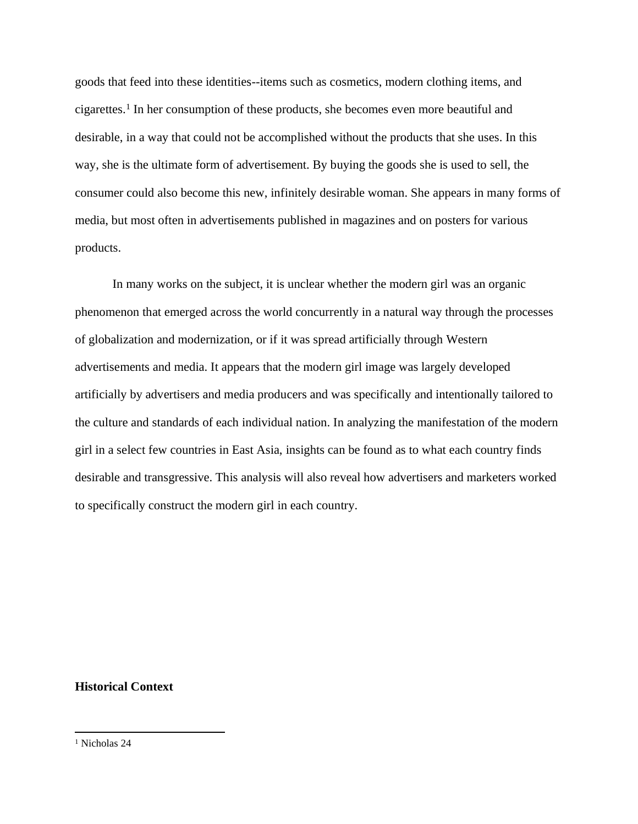goods that feed into these identities--items such as cosmetics, modern clothing items, and cigarettes.<sup>1</sup> In her consumption of these products, she becomes even more beautiful and desirable, in a way that could not be accomplished without the products that she uses. In this way, she is the ultimate form of advertisement. By buying the goods she is used to sell, the consumer could also become this new, infinitely desirable woman. She appears in many forms of media, but most often in advertisements published in magazines and on posters for various products.

In many works on the subject, it is unclear whether the modern girl was an organic phenomenon that emerged across the world concurrently in a natural way through the processes of globalization and modernization, or if it was spread artificially through Western advertisements and media. It appears that the modern girl image was largely developed artificially by advertisers and media producers and was specifically and intentionally tailored to the culture and standards of each individual nation. In analyzing the manifestation of the modern girl in a select few countries in East Asia, insights can be found as to what each country finds desirable and transgressive. This analysis will also reveal how advertisers and marketers worked to specifically construct the modern girl in each country.

#### **Historical Context**

<sup>1</sup> Nicholas 24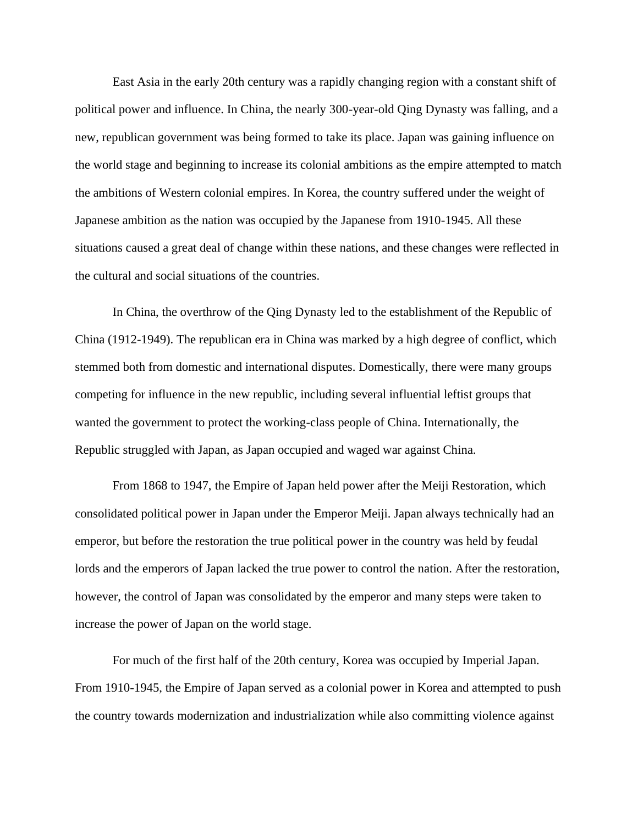East Asia in the early 20th century was a rapidly changing region with a constant shift of political power and influence. In China, the nearly 300-year-old Qing Dynasty was falling, and a new, republican government was being formed to take its place. Japan was gaining influence on the world stage and beginning to increase its colonial ambitions as the empire attempted to match the ambitions of Western colonial empires. In Korea, the country suffered under the weight of Japanese ambition as the nation was occupied by the Japanese from 1910-1945. All these situations caused a great deal of change within these nations, and these changes were reflected in the cultural and social situations of the countries.

In China, the overthrow of the Qing Dynasty led to the establishment of the Republic of China (1912-1949). The republican era in China was marked by a high degree of conflict, which stemmed both from domestic and international disputes. Domestically, there were many groups competing for influence in the new republic, including several influential leftist groups that wanted the government to protect the working-class people of China. Internationally, the Republic struggled with Japan, as Japan occupied and waged war against China.

From 1868 to 1947, the Empire of Japan held power after the Meiji Restoration, which consolidated political power in Japan under the Emperor Meiji. Japan always technically had an emperor, but before the restoration the true political power in the country was held by feudal lords and the emperors of Japan lacked the true power to control the nation. After the restoration, however, the control of Japan was consolidated by the emperor and many steps were taken to increase the power of Japan on the world stage.

For much of the first half of the 20th century, Korea was occupied by Imperial Japan. From 1910-1945, the Empire of Japan served as a colonial power in Korea and attempted to push the country towards modernization and industrialization while also committing violence against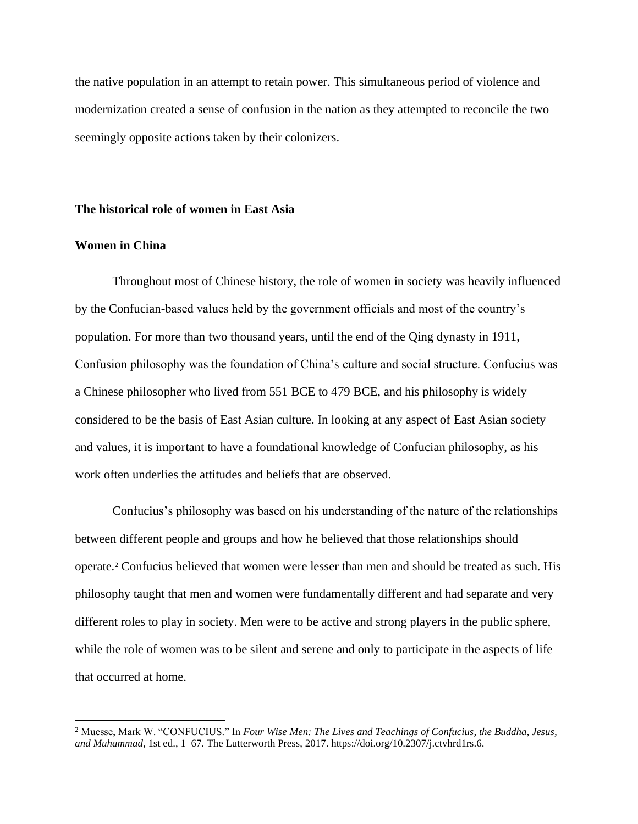the native population in an attempt to retain power. This simultaneous period of violence and modernization created a sense of confusion in the nation as they attempted to reconcile the two seemingly opposite actions taken by their colonizers.

#### **The historical role of women in East Asia**

#### **Women in China**

Throughout most of Chinese history, the role of women in society was heavily influenced by the Confucian-based values held by the government officials and most of the country's population. For more than two thousand years, until the end of the Qing dynasty in 1911, Confusion philosophy was the foundation of China's culture and social structure. Confucius was a Chinese philosopher who lived from 551 BCE to 479 BCE, and his philosophy is widely considered to be the basis of East Asian culture. In looking at any aspect of East Asian society and values, it is important to have a foundational knowledge of Confucian philosophy, as his work often underlies the attitudes and beliefs that are observed.

Confucius's philosophy was based on his understanding of the nature of the relationships between different people and groups and how he believed that those relationships should operate.<sup>2</sup> Confucius believed that women were lesser than men and should be treated as such. His philosophy taught that men and women were fundamentally different and had separate and very different roles to play in society. Men were to be active and strong players in the public sphere, while the role of women was to be silent and serene and only to participate in the aspects of life that occurred at home.

<sup>2</sup> Muesse, Mark W. "CONFUCIUS." In *Four Wise Men: The Lives and Teachings of Confucius, the Buddha, Jesus, and Muhammad*, 1st ed., 1–67. The Lutterworth Press, 2017. https://doi.org/10.2307/j.ctvhrd1rs.6.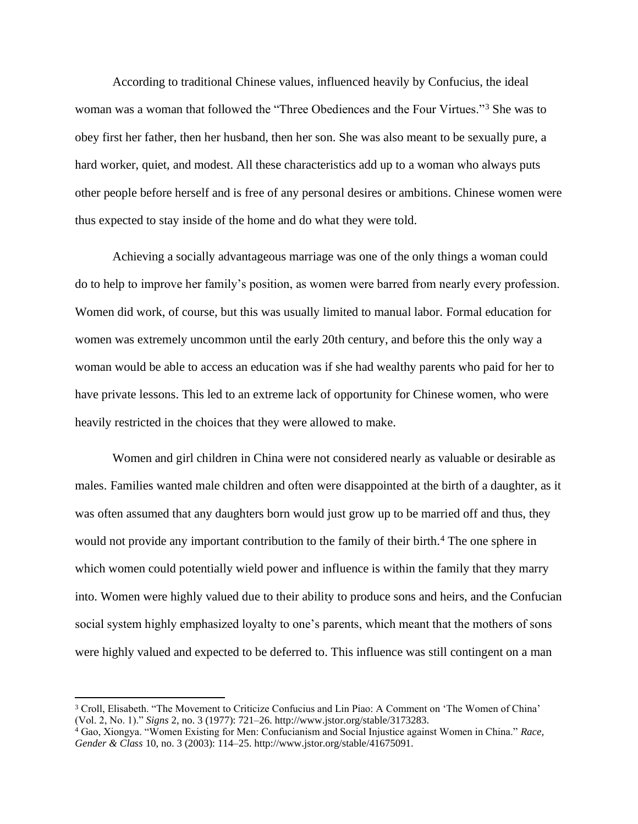According to traditional Chinese values, influenced heavily by Confucius, the ideal woman was a woman that followed the "Three Obediences and the Four Virtues."<sup>3</sup> She was to obey first her father, then her husband, then her son. She was also meant to be sexually pure, a hard worker, quiet, and modest. All these characteristics add up to a woman who always puts other people before herself and is free of any personal desires or ambitions. Chinese women were thus expected to stay inside of the home and do what they were told.

Achieving a socially advantageous marriage was one of the only things a woman could do to help to improve her family's position, as women were barred from nearly every profession. Women did work, of course, but this was usually limited to manual labor. Formal education for women was extremely uncommon until the early 20th century, and before this the only way a woman would be able to access an education was if she had wealthy parents who paid for her to have private lessons. This led to an extreme lack of opportunity for Chinese women, who were heavily restricted in the choices that they were allowed to make.

Women and girl children in China were not considered nearly as valuable or desirable as males. Families wanted male children and often were disappointed at the birth of a daughter, as it was often assumed that any daughters born would just grow up to be married off and thus, they would not provide any important contribution to the family of their birth.<sup>4</sup> The one sphere in which women could potentially wield power and influence is within the family that they marry into. Women were highly valued due to their ability to produce sons and heirs, and the Confucian social system highly emphasized loyalty to one's parents, which meant that the mothers of sons were highly valued and expected to be deferred to. This influence was still contingent on a man

<sup>3</sup> Croll, Elisabeth. "The Movement to Criticize Confucius and Lin Piao: A Comment on 'The Women of China' (Vol. 2, No. 1)." *Signs* 2, no. 3 (1977): 721–26. http://www.jstor.org/stable/3173283.

<sup>4</sup> Gao, Xiongya. "Women Existing for Men: Confucianism and Social Injustice against Women in China." *Race, Gender & Class* 10, no. 3 (2003): 114–25. http://www.jstor.org/stable/41675091.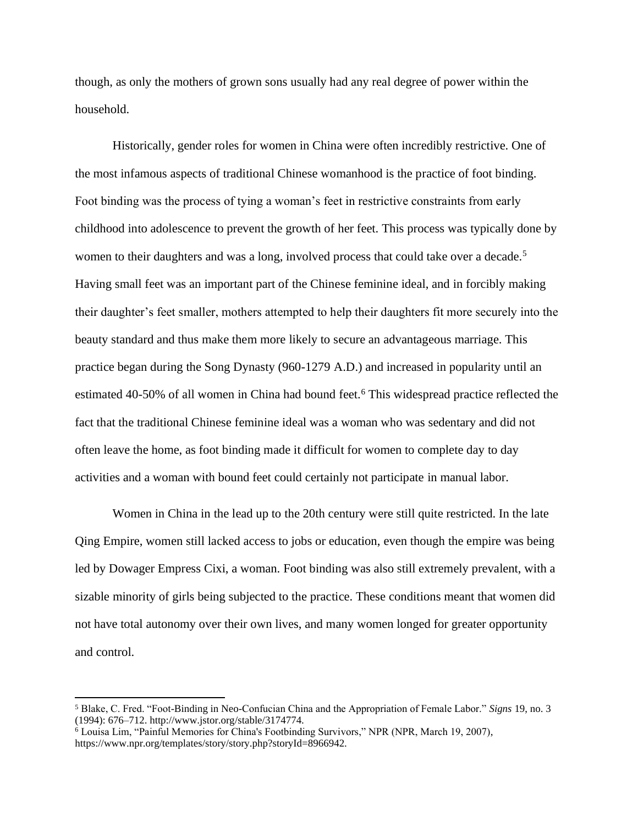though, as only the mothers of grown sons usually had any real degree of power within the household.

Historically, gender roles for women in China were often incredibly restrictive. One of the most infamous aspects of traditional Chinese womanhood is the practice of foot binding. Foot binding was the process of tying a woman's feet in restrictive constraints from early childhood into adolescence to prevent the growth of her feet. This process was typically done by women to their daughters and was a long, involved process that could take over a decade.<sup>5</sup> Having small feet was an important part of the Chinese feminine ideal, and in forcibly making their daughter's feet smaller, mothers attempted to help their daughters fit more securely into the beauty standard and thus make them more likely to secure an advantageous marriage. This practice began during the Song Dynasty (960-1279 A.D.) and increased in popularity until an estimated 40-50% of all women in China had bound feet.<sup>6</sup> This widespread practice reflected the fact that the traditional Chinese feminine ideal was a woman who was sedentary and did not often leave the home, as foot binding made it difficult for women to complete day to day activities and a woman with bound feet could certainly not participate in manual labor.

Women in China in the lead up to the 20th century were still quite restricted. In the late Qing Empire, women still lacked access to jobs or education, even though the empire was being led by Dowager Empress Cixi, a woman. Foot binding was also still extremely prevalent, with a sizable minority of girls being subjected to the practice. These conditions meant that women did not have total autonomy over their own lives, and many women longed for greater opportunity and control.

<sup>5</sup> Blake, C. Fred. "Foot-Binding in Neo-Confucian China and the Appropriation of Female Labor." *Signs* 19, no. 3 (1994): 676–712. http://www.jstor.org/stable/3174774.

<sup>6</sup> Louisa Lim, "Painful Memories for China's Footbinding Survivors," NPR (NPR, March 19, 2007), https://www.npr.org/templates/story/story.php?storyId=8966942.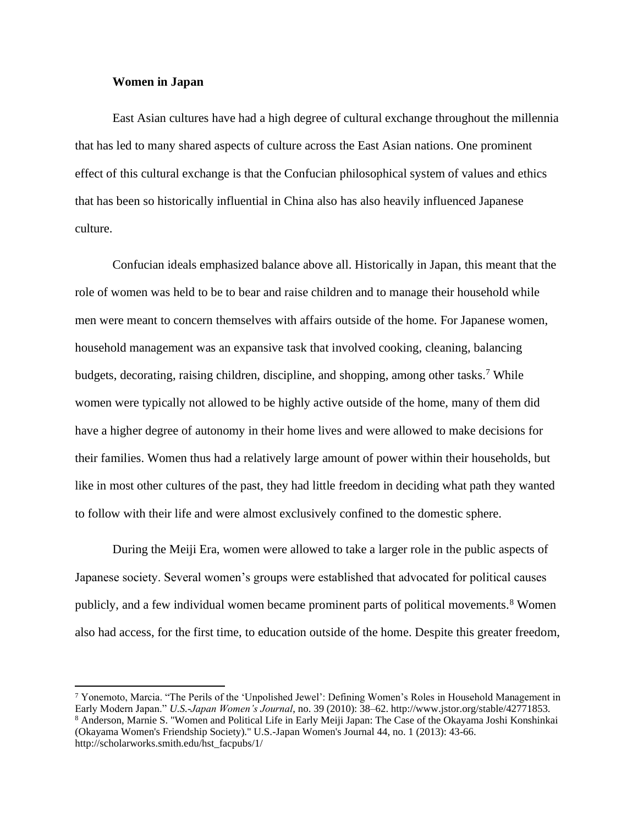#### **Women in Japan**

East Asian cultures have had a high degree of cultural exchange throughout the millennia that has led to many shared aspects of culture across the East Asian nations. One prominent effect of this cultural exchange is that the Confucian philosophical system of values and ethics that has been so historically influential in China also has also heavily influenced Japanese culture.

Confucian ideals emphasized balance above all. Historically in Japan, this meant that the role of women was held to be to bear and raise children and to manage their household while men were meant to concern themselves with affairs outside of the home. For Japanese women, household management was an expansive task that involved cooking, cleaning, balancing budgets, decorating, raising children, discipline, and shopping, among other tasks.<sup>7</sup> While women were typically not allowed to be highly active outside of the home, many of them did have a higher degree of autonomy in their home lives and were allowed to make decisions for their families. Women thus had a relatively large amount of power within their households, but like in most other cultures of the past, they had little freedom in deciding what path they wanted to follow with their life and were almost exclusively confined to the domestic sphere.

During the Meiji Era, women were allowed to take a larger role in the public aspects of Japanese society. Several women's groups were established that advocated for political causes publicly, and a few individual women became prominent parts of political movements.<sup>8</sup> Women also had access, for the first time, to education outside of the home. Despite this greater freedom,

<sup>7</sup> Yonemoto, Marcia. "The Perils of the 'Unpolished Jewel': Defining Women's Roles in Household Management in Early Modern Japan." *U.S.-Japan Women's Journal*, no. 39 (2010): 38–62. http://www.jstor.org/stable/42771853. 8 Anderson, Marnie S. "Women and Political Life in Early Meiji Japan: The Case of the Okayama Joshi Konshinkai (Okayama Women's Friendship Society)." U.S.-Japan Women's Journal 44, no. 1 (2013): 43-66. http://scholarworks.smith.edu/hst\_facpubs/1/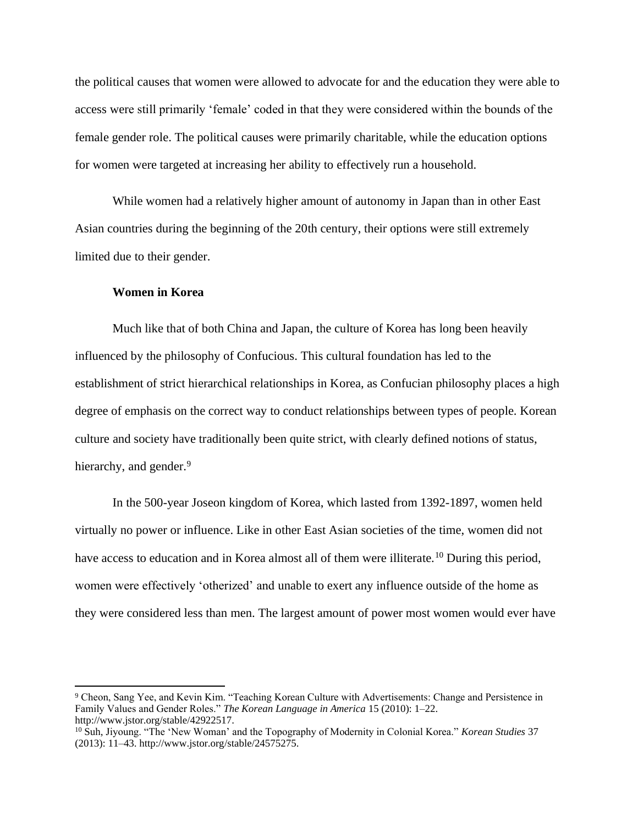the political causes that women were allowed to advocate for and the education they were able to access were still primarily 'female' coded in that they were considered within the bounds of the female gender role. The political causes were primarily charitable, while the education options for women were targeted at increasing her ability to effectively run a household.

While women had a relatively higher amount of autonomy in Japan than in other East Asian countries during the beginning of the 20th century, their options were still extremely limited due to their gender.

#### **Women in Korea**

Much like that of both China and Japan, the culture of Korea has long been heavily influenced by the philosophy of Confucious. This cultural foundation has led to the establishment of strict hierarchical relationships in Korea, as Confucian philosophy places a high degree of emphasis on the correct way to conduct relationships between types of people. Korean culture and society have traditionally been quite strict, with clearly defined notions of status, hierarchy, and gender.<sup>9</sup>

In the 500-year Joseon kingdom of Korea, which lasted from 1392-1897, women held virtually no power or influence. Like in other East Asian societies of the time, women did not have access to education and in Korea almost all of them were illiterate.<sup>10</sup> During this period, women were effectively 'otherized' and unable to exert any influence outside of the home as they were considered less than men. The largest amount of power most women would ever have

<sup>9</sup> Cheon, Sang Yee, and Kevin Kim. "Teaching Korean Culture with Advertisements: Change and Persistence in Family Values and Gender Roles." *The Korean Language in America* 15 (2010): 1–22. http://www.jstor.org/stable/42922517.

<sup>10</sup> Suh, Jiyoung. "The 'New Woman' and the Topography of Modernity in Colonial Korea." *Korean Studies* 37 (2013): 11–43. http://www.jstor.org/stable/24575275.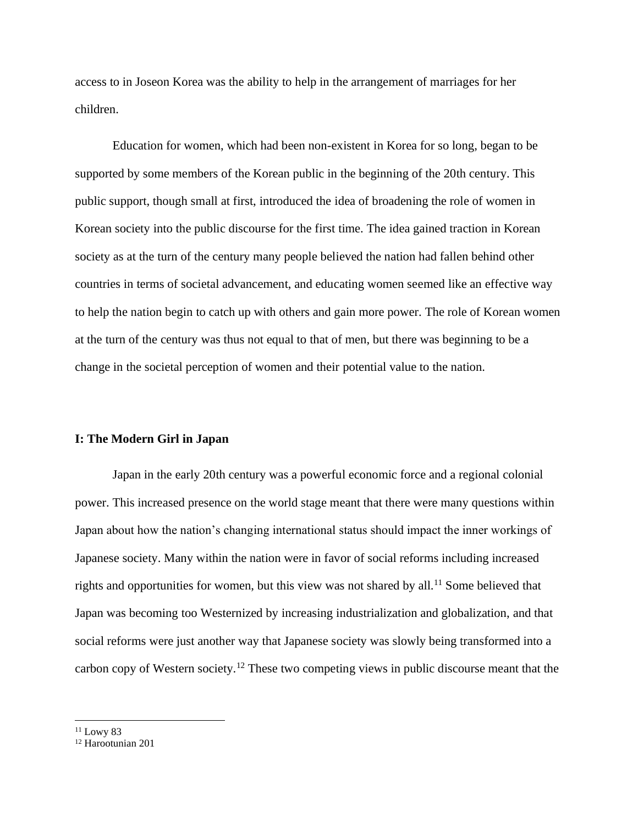access to in Joseon Korea was the ability to help in the arrangement of marriages for her children.

Education for women, which had been non-existent in Korea for so long, began to be supported by some members of the Korean public in the beginning of the 20th century. This public support, though small at first, introduced the idea of broadening the role of women in Korean society into the public discourse for the first time. The idea gained traction in Korean society as at the turn of the century many people believed the nation had fallen behind other countries in terms of societal advancement, and educating women seemed like an effective way to help the nation begin to catch up with others and gain more power. The role of Korean women at the turn of the century was thus not equal to that of men, but there was beginning to be a change in the societal perception of women and their potential value to the nation.

#### **I: The Modern Girl in Japan**

Japan in the early 20th century was a powerful economic force and a regional colonial power. This increased presence on the world stage meant that there were many questions within Japan about how the nation's changing international status should impact the inner workings of Japanese society. Many within the nation were in favor of social reforms including increased rights and opportunities for women, but this view was not shared by all.<sup>11</sup> Some believed that Japan was becoming too Westernized by increasing industrialization and globalization, and that social reforms were just another way that Japanese society was slowly being transformed into a carbon copy of Western society.<sup>12</sup> These two competing views in public discourse meant that the

 $11$  Lowy 83

<sup>12</sup> Harootunian 201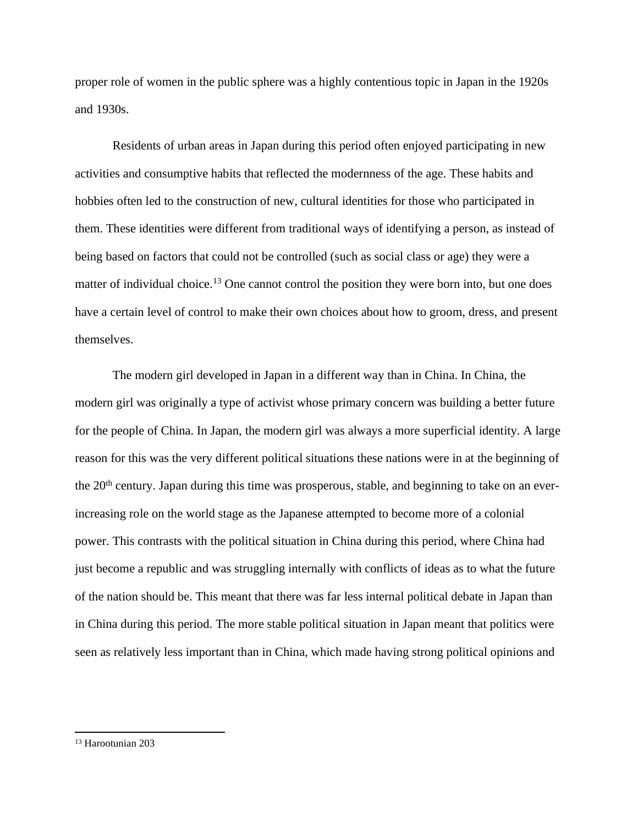proper role of women in the public sphere was a highly contentious topic in Japan in the 1920s and 1930s.

Residents of urban areas in Japan during this period often enjoyed participating in new activities and consumptive habits that reflected the modernness of the age. These habits and hobbies often led to the construction of new, cultural identities for those who participated in them. These identities were different from traditional ways of identifying a person, as instead of being based on factors that could not be controlled (such as social class or age) they were a matter of individual choice.<sup>13</sup> One cannot control the position they were born into, but one does have a certain level of control to make their own choices about how to groom, dress, and present themselves.

The modern girl developed in Japan in a different way than in China. In China, the modern girl was originally a type of activist whose primary concern was building a better future for the people of China. In Japan, the modern girl was always a more superficial identity. A large reason for this was the very different political situations these nations were in at the beginning of the 20<sup>th</sup> century. Japan during this time was prosperous, stable, and beginning to take on an everincreasing role on the world stage as the Japanese attempted to become more of a colonial power. This contrasts with the political situation in China during this period, where China had just become a republic and was struggling internally with conflicts of ideas as to what the future of the nation should be. This meant that there was far less internal political debate in Japan than in China during this period. The more stable political situation in Japan meant that politics were seen as relatively less important than in China, which made having strong political opinions and

<sup>13</sup> Harootunian 203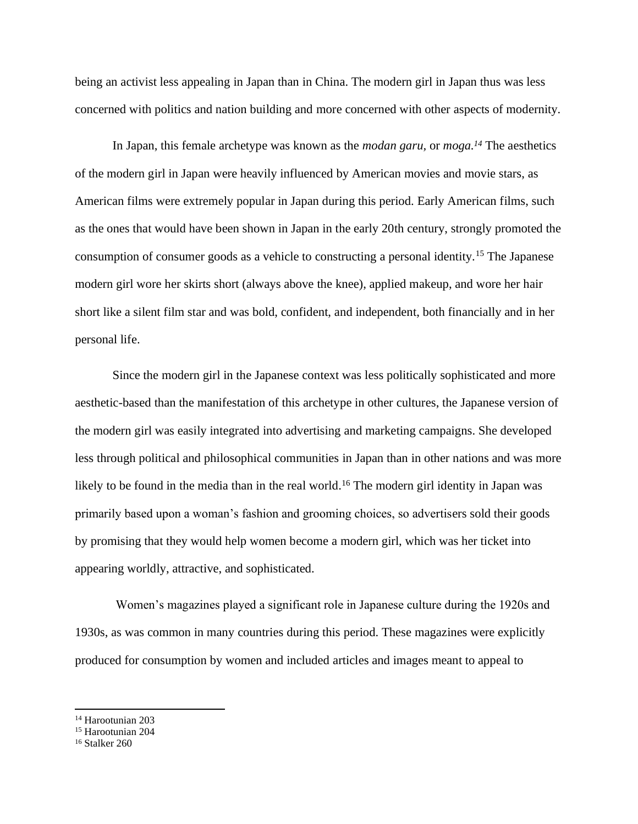being an activist less appealing in Japan than in China. The modern girl in Japan thus was less concerned with politics and nation building and more concerned with other aspects of modernity.

In Japan, this female archetype was known as the *modan garu,* or *moga.<sup>14</sup>* The aesthetics of the modern girl in Japan were heavily influenced by American movies and movie stars, as American films were extremely popular in Japan during this period. Early American films, such as the ones that would have been shown in Japan in the early 20th century, strongly promoted the consumption of consumer goods as a vehicle to constructing a personal identity.<sup>15</sup> The Japanese modern girl wore her skirts short (always above the knee), applied makeup, and wore her hair short like a silent film star and was bold, confident, and independent, both financially and in her personal life.

Since the modern girl in the Japanese context was less politically sophisticated and more aesthetic-based than the manifestation of this archetype in other cultures, the Japanese version of the modern girl was easily integrated into advertising and marketing campaigns. She developed less through political and philosophical communities in Japan than in other nations and was more likely to be found in the media than in the real world.<sup>16</sup> The modern girl identity in Japan was primarily based upon a woman's fashion and grooming choices, so advertisers sold their goods by promising that they would help women become a modern girl, which was her ticket into appearing worldly, attractive, and sophisticated.

Women's magazines played a significant role in Japanese culture during the 1920s and 1930s, as was common in many countries during this period. These magazines were explicitly produced for consumption by women and included articles and images meant to appeal to

<sup>14</sup> Harootunian 203

<sup>15</sup> Harootunian 204

<sup>16</sup> Stalker 260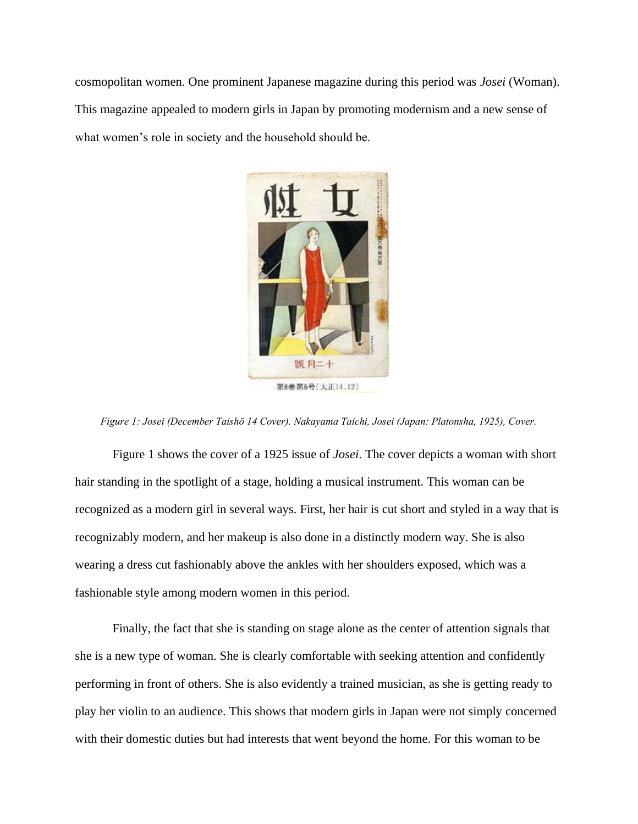cosmopolitan women. One prominent Japanese magazine during this period was *Josei* (Woman). This magazine appealed to modern girls in Japan by promoting modernism and a new sense of what women's role in society and the household should be.



*Figure 1: Josei (December Taishō 14 Cover). Nakayama Taichi, Josei (Japan: Platonsha, 1925), Cover.*

Figure 1 shows the cover of a 1925 issue of *Josei*. The cover depicts a woman with short hair standing in the spotlight of a stage, holding a musical instrument. This woman can be recognized as a modern girl in several ways. First, her hair is cut short and styled in a way that is recognizably modern, and her makeup is also done in a distinctly modern way. She is also wearing a dress cut fashionably above the ankles with her shoulders exposed, which was a fashionable style among modern women in this period.

Finally, the fact that she is standing on stage alone as the center of attention signals that she is a new type of woman. She is clearly comfortable with seeking attention and confidently performing in front of others. She is also evidently a trained musician, as she is getting ready to play her violin to an audience. This shows that modern girls in Japan were not simply concerned with their domestic duties but had interests that went beyond the home. For this woman to be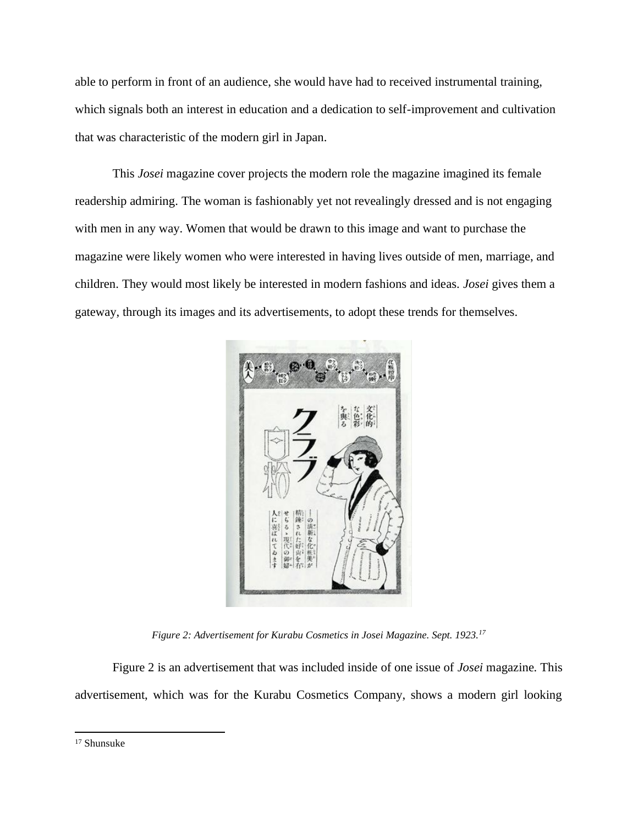able to perform in front of an audience, she would have had to received instrumental training, which signals both an interest in education and a dedication to self-improvement and cultivation that was characteristic of the modern girl in Japan.

This *Josei* magazine cover projects the modern role the magazine imagined its female readership admiring. The woman is fashionably yet not revealingly dressed and is not engaging with men in any way. Women that would be drawn to this image and want to purchase the magazine were likely women who were interested in having lives outside of men, marriage, and children. They would most likely be interested in modern fashions and ideas. *Josei* gives them a gateway, through its images and its advertisements, to adopt these trends for themselves.



*Figure 2: Advertisement for Kurabu Cosmetics in Josei Magazine. Sept. 1923.<sup>17</sup>*

Figure 2 is an advertisement that was included inside of one issue of *Josei* magazine*.* This advertisement, which was for the Kurabu Cosmetics Company, shows a modern girl looking

<sup>17</sup> Shunsuke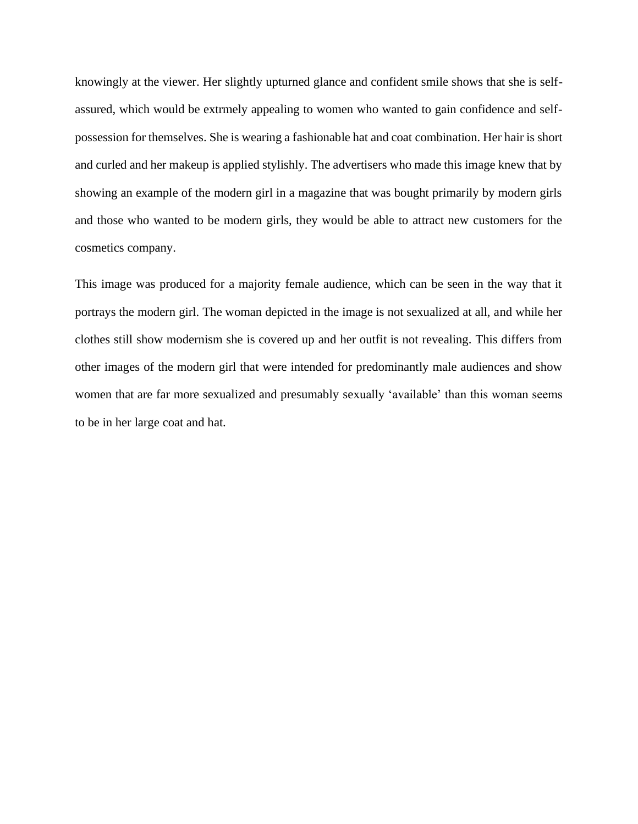knowingly at the viewer. Her slightly upturned glance and confident smile shows that she is selfassured, which would be extrmely appealing to women who wanted to gain confidence and selfpossession for themselves. She is wearing a fashionable hat and coat combination. Her hair is short and curled and her makeup is applied stylishly. The advertisers who made this image knew that by showing an example of the modern girl in a magazine that was bought primarily by modern girls and those who wanted to be modern girls, they would be able to attract new customers for the cosmetics company.

This image was produced for a majority female audience, which can be seen in the way that it portrays the modern girl. The woman depicted in the image is not sexualized at all, and while her clothes still show modernism she is covered up and her outfit is not revealing. This differs from other images of the modern girl that were intended for predominantly male audiences and show women that are far more sexualized and presumably sexually 'available' than this woman seems to be in her large coat and hat.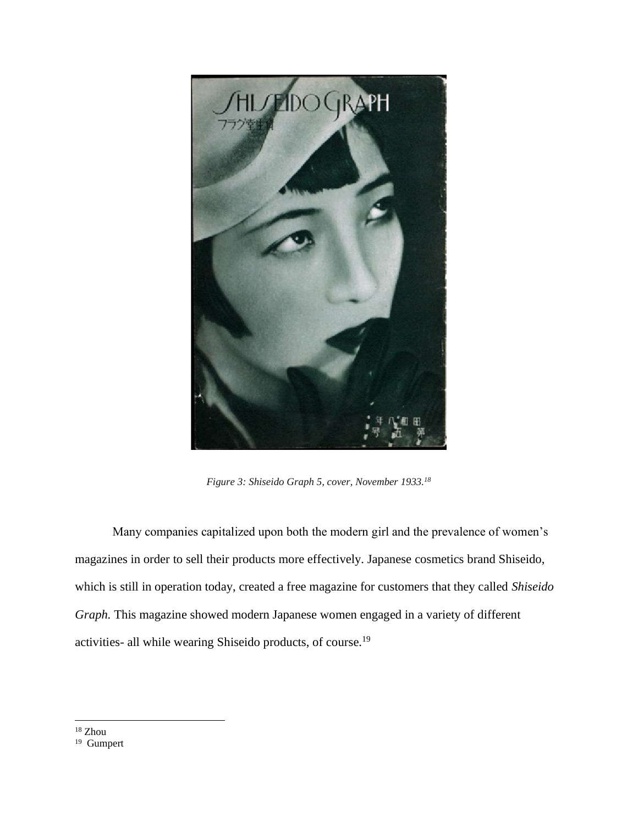

*Figure 3: Shiseido Graph 5, cover, November 1933.<sup>18</sup>*

Many companies capitalized upon both the modern girl and the prevalence of women's magazines in order to sell their products more effectively. Japanese cosmetics brand Shiseido, which is still in operation today, created a free magazine for customers that they called *Shiseido Graph.* This magazine showed modern Japanese women engaged in a variety of different activities- all while wearing Shiseido products, of course.<sup>19</sup>

<sup>18</sup> Zhou

<sup>&</sup>lt;sup>19</sup> Gumpert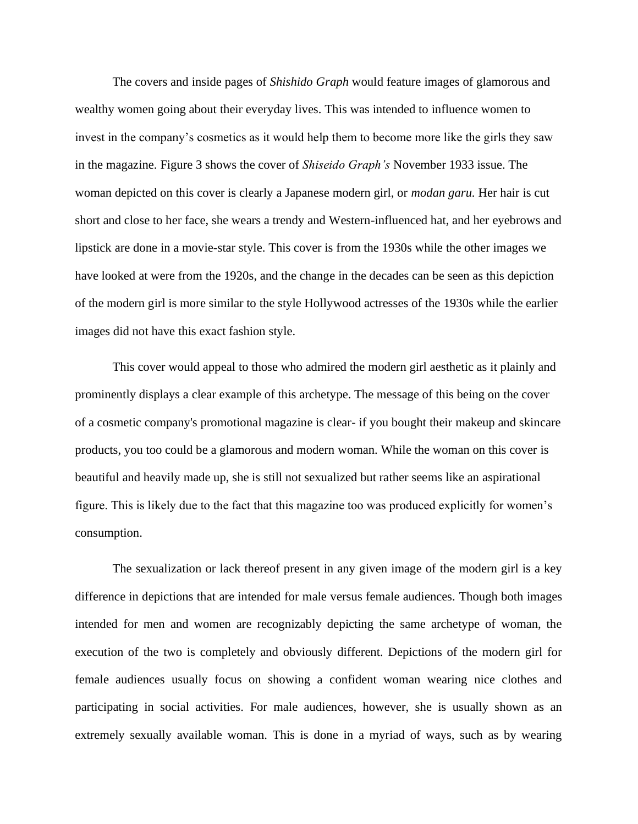The covers and inside pages of *Shishido Graph* would feature images of glamorous and wealthy women going about their everyday lives. This was intended to influence women to invest in the company's cosmetics as it would help them to become more like the girls they saw in the magazine. Figure 3 shows the cover of *Shiseido Graph's* November 1933 issue. The woman depicted on this cover is clearly a Japanese modern girl, or *modan garu.* Her hair is cut short and close to her face, she wears a trendy and Western-influenced hat, and her eyebrows and lipstick are done in a movie-star style. This cover is from the 1930s while the other images we have looked at were from the 1920s, and the change in the decades can be seen as this depiction of the modern girl is more similar to the style Hollywood actresses of the 1930s while the earlier images did not have this exact fashion style.

This cover would appeal to those who admired the modern girl aesthetic as it plainly and prominently displays a clear example of this archetype. The message of this being on the cover of a cosmetic company's promotional magazine is clear- if you bought their makeup and skincare products, you too could be a glamorous and modern woman. While the woman on this cover is beautiful and heavily made up, she is still not sexualized but rather seems like an aspirational figure. This is likely due to the fact that this magazine too was produced explicitly for women's consumption.

The sexualization or lack thereof present in any given image of the modern girl is a key difference in depictions that are intended for male versus female audiences. Though both images intended for men and women are recognizably depicting the same archetype of woman, the execution of the two is completely and obviously different. Depictions of the modern girl for female audiences usually focus on showing a confident woman wearing nice clothes and participating in social activities. For male audiences, however, she is usually shown as an extremely sexually available woman. This is done in a myriad of ways, such as by wearing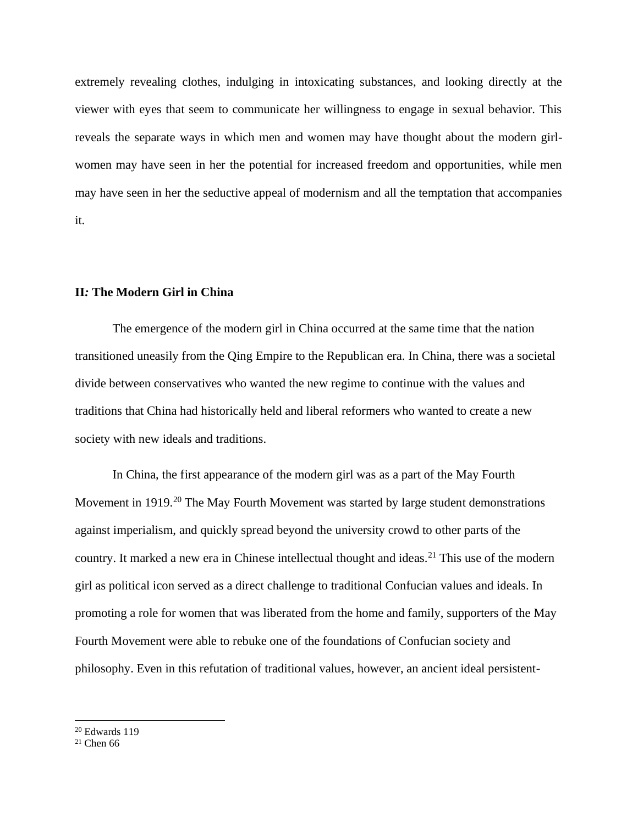extremely revealing clothes, indulging in intoxicating substances, and looking directly at the viewer with eyes that seem to communicate her willingness to engage in sexual behavior. This reveals the separate ways in which men and women may have thought about the modern girlwomen may have seen in her the potential for increased freedom and opportunities, while men may have seen in her the seductive appeal of modernism and all the temptation that accompanies it.

#### **II***:* **The Modern Girl in China**

The emergence of the modern girl in China occurred at the same time that the nation transitioned uneasily from the Qing Empire to the Republican era. In China, there was a societal divide between conservatives who wanted the new regime to continue with the values and traditions that China had historically held and liberal reformers who wanted to create a new society with new ideals and traditions.

In China, the first appearance of the modern girl was as a part of the May Fourth Movement in 1919.<sup>20</sup> The May Fourth Movement was started by large student demonstrations against imperialism, and quickly spread beyond the university crowd to other parts of the country. It marked a new era in Chinese intellectual thought and ideas.<sup>21</sup> This use of the modern girl as political icon served as a direct challenge to traditional Confucian values and ideals. In promoting a role for women that was liberated from the home and family, supporters of the May Fourth Movement were able to rebuke one of the foundations of Confucian society and philosophy. Even in this refutation of traditional values, however, an ancient ideal persistent-

<sup>20</sup> Edwards 119

 $21$  Chen 66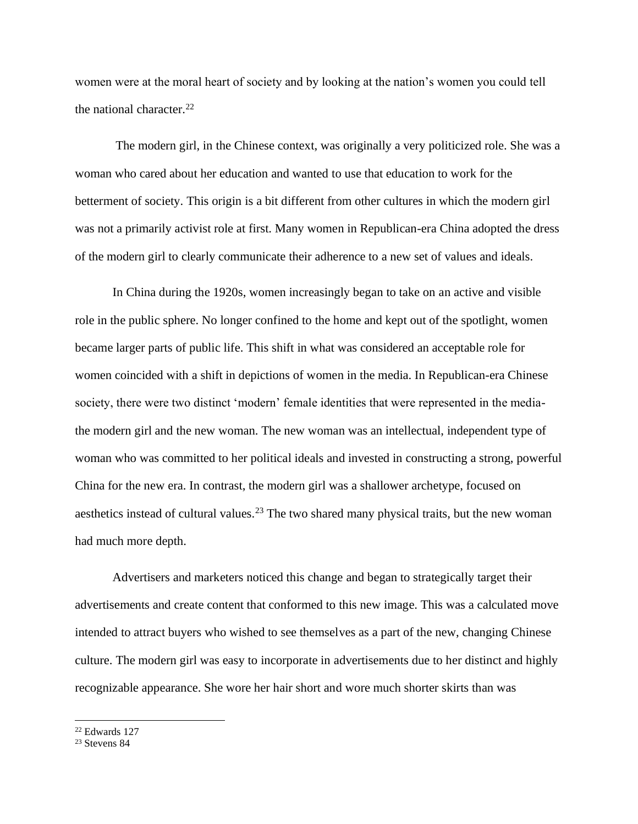women were at the moral heart of society and by looking at the nation's women you could tell the national character.<sup>22</sup>

The modern girl, in the Chinese context, was originally a very politicized role. She was a woman who cared about her education and wanted to use that education to work for the betterment of society. This origin is a bit different from other cultures in which the modern girl was not a primarily activist role at first. Many women in Republican-era China adopted the dress of the modern girl to clearly communicate their adherence to a new set of values and ideals.

In China during the 1920s, women increasingly began to take on an active and visible role in the public sphere. No longer confined to the home and kept out of the spotlight, women became larger parts of public life. This shift in what was considered an acceptable role for women coincided with a shift in depictions of women in the media. In Republican-era Chinese society, there were two distinct 'modern' female identities that were represented in the mediathe modern girl and the new woman. The new woman was an intellectual, independent type of woman who was committed to her political ideals and invested in constructing a strong, powerful China for the new era. In contrast, the modern girl was a shallower archetype, focused on aesthetics instead of cultural values.<sup>23</sup> The two shared many physical traits, but the new woman had much more depth.

Advertisers and marketers noticed this change and began to strategically target their advertisements and create content that conformed to this new image. This was a calculated move intended to attract buyers who wished to see themselves as a part of the new, changing Chinese culture. The modern girl was easy to incorporate in advertisements due to her distinct and highly recognizable appearance. She wore her hair short and wore much shorter skirts than was

<sup>22</sup> Edwards 127

<sup>23</sup> Stevens 84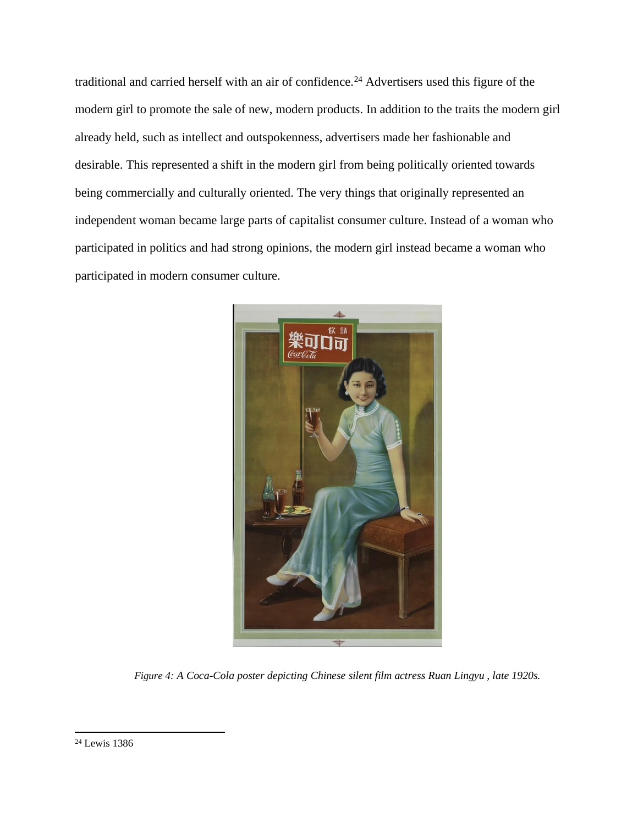traditional and carried herself with an air of confidence.<sup>24</sup> Advertisers used this figure of the modern girl to promote the sale of new, modern products. In addition to the traits the modern girl already held, such as intellect and outspokenness, advertisers made her fashionable and desirable. This represented a shift in the modern girl from being politically oriented towards being commercially and culturally oriented. The very things that originally represented an independent woman became large parts of capitalist consumer culture. Instead of a woman who participated in politics and had strong opinions, the modern girl instead became a woman who participated in modern consumer culture.



*Figure 4: A Coca-Cola poster depicting Chinese silent film actress Ruan Lingyu , late 1920s.*

<sup>24</sup> Lewis 1386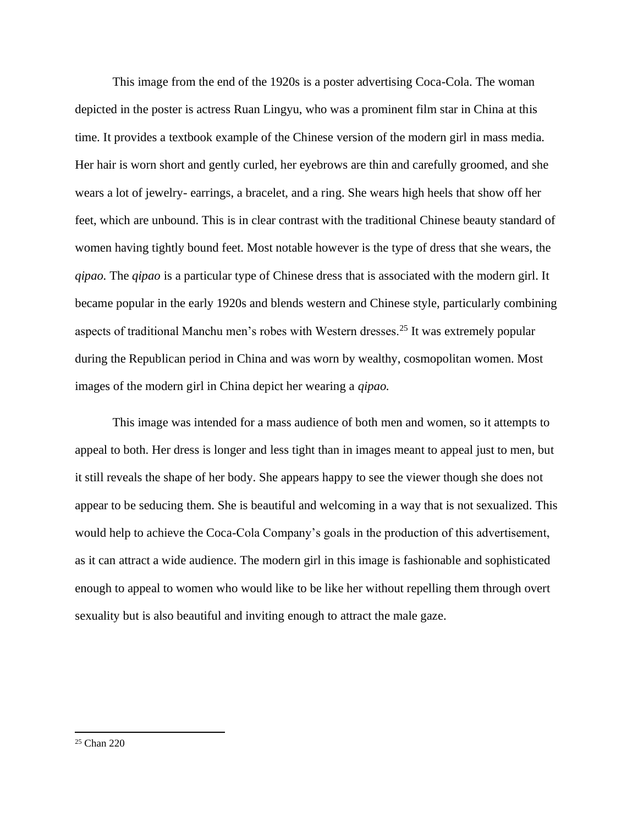This image from the end of the 1920s is a poster advertising Coca-Cola. The woman depicted in the poster is actress Ruan Lingyu, who was a prominent film star in China at this time. It provides a textbook example of the Chinese version of the modern girl in mass media. Her hair is worn short and gently curled, her eyebrows are thin and carefully groomed, and she wears a lot of jewelry- earrings, a bracelet, and a ring. She wears high heels that show off her feet, which are unbound. This is in clear contrast with the traditional Chinese beauty standard of women having tightly bound feet. Most notable however is the type of dress that she wears, the *qipao.* The *qipao* is a particular type of Chinese dress that is associated with the modern girl. It became popular in the early 1920s and blends western and Chinese style, particularly combining aspects of traditional Manchu men's robes with Western dresses.<sup>25</sup> It was extremely popular during the Republican period in China and was worn by wealthy, cosmopolitan women. Most images of the modern girl in China depict her wearing a *qipao.*

This image was intended for a mass audience of both men and women, so it attempts to appeal to both. Her dress is longer and less tight than in images meant to appeal just to men, but it still reveals the shape of her body. She appears happy to see the viewer though she does not appear to be seducing them. She is beautiful and welcoming in a way that is not sexualized. This would help to achieve the Coca-Cola Company's goals in the production of this advertisement, as it can attract a wide audience. The modern girl in this image is fashionable and sophisticated enough to appeal to women who would like to be like her without repelling them through overt sexuality but is also beautiful and inviting enough to attract the male gaze.

<sup>25</sup> Chan 220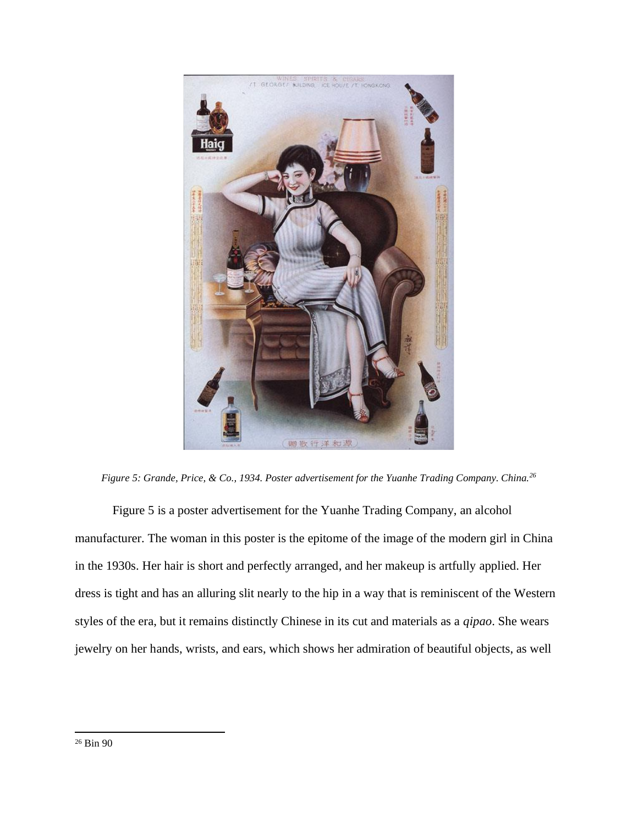

*Figure 5: Grande, Price, & Co., 1934. Poster advertisement for the Yuanhe Trading Company. China.<sup>26</sup>*

Figure 5 is a poster advertisement for the Yuanhe Trading Company, an alcohol manufacturer. The woman in this poster is the epitome of the image of the modern girl in China in the 1930s. Her hair is short and perfectly arranged, and her makeup is artfully applied. Her dress is tight and has an alluring slit nearly to the hip in a way that is reminiscent of the Western styles of the era, but it remains distinctly Chinese in its cut and materials as a *qipao*. She wears jewelry on her hands, wrists, and ears, which shows her admiration of beautiful objects, as well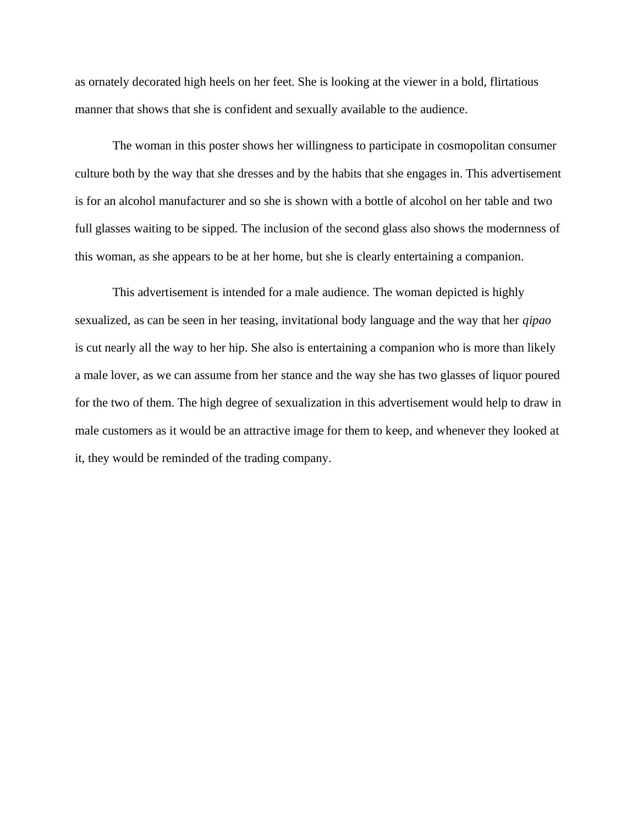as ornately decorated high heels on her feet. She is looking at the viewer in a bold, flirtatious manner that shows that she is confident and sexually available to the audience.

The woman in this poster shows her willingness to participate in cosmopolitan consumer culture both by the way that she dresses and by the habits that she engages in. This advertisement is for an alcohol manufacturer and so she is shown with a bottle of alcohol on her table and two full glasses waiting to be sipped. The inclusion of the second glass also shows the modernness of this woman, as she appears to be at her home, but she is clearly entertaining a companion.

This advertisement is intended for a male audience. The woman depicted is highly sexualized, as can be seen in her teasing, invitational body language and the way that her *qipao*  is cut nearly all the way to her hip. She also is entertaining a companion who is more than likely a male lover, as we can assume from her stance and the way she has two glasses of liquor poured for the two of them. The high degree of sexualization in this advertisement would help to draw in male customers as it would be an attractive image for them to keep, and whenever they looked at it, they would be reminded of the trading company.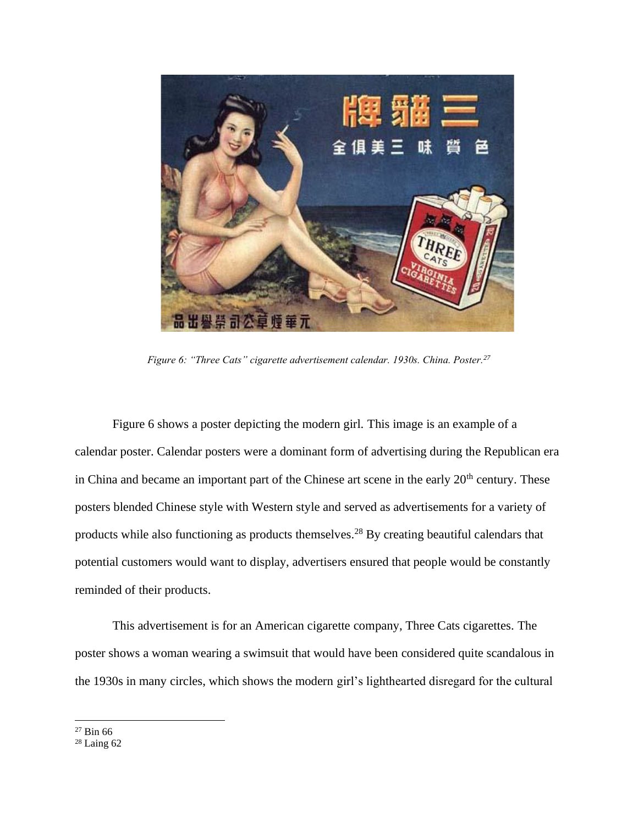

*Figure 6: "Three Cats" cigarette advertisement calendar. 1930s. China. Poster.<sup>27</sup>*

Figure 6 shows a poster depicting the modern girl. This image is an example of a calendar poster. Calendar posters were a dominant form of advertising during the Republican era in China and became an important part of the Chinese art scene in the early 20<sup>th</sup> century. These posters blended Chinese style with Western style and served as advertisements for a variety of products while also functioning as products themselves.<sup>28</sup> By creating beautiful calendars that potential customers would want to display, advertisers ensured that people would be constantly reminded of their products.

This advertisement is for an American cigarette company, Three Cats cigarettes. The poster shows a woman wearing a swimsuit that would have been considered quite scandalous in the 1930s in many circles, which shows the modern girl's lighthearted disregard for the cultural

<sup>27</sup> Bin 66

<sup>28</sup> Laing 62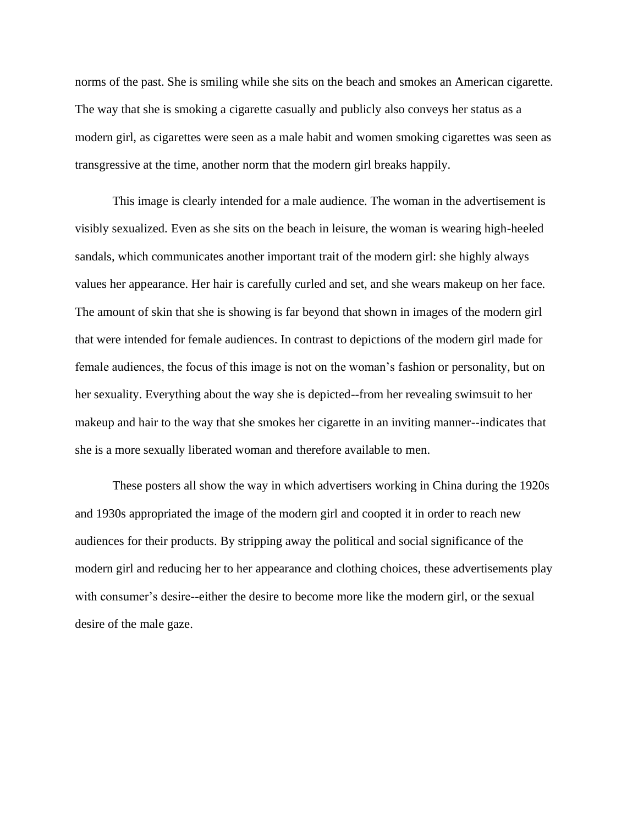norms of the past. She is smiling while she sits on the beach and smokes an American cigarette. The way that she is smoking a cigarette casually and publicly also conveys her status as a modern girl, as cigarettes were seen as a male habit and women smoking cigarettes was seen as transgressive at the time, another norm that the modern girl breaks happily.

This image is clearly intended for a male audience. The woman in the advertisement is visibly sexualized. Even as she sits on the beach in leisure, the woman is wearing high-heeled sandals, which communicates another important trait of the modern girl: she highly always values her appearance. Her hair is carefully curled and set, and she wears makeup on her face. The amount of skin that she is showing is far beyond that shown in images of the modern girl that were intended for female audiences. In contrast to depictions of the modern girl made for female audiences, the focus of this image is not on the woman's fashion or personality, but on her sexuality. Everything about the way she is depicted--from her revealing swimsuit to her makeup and hair to the way that she smokes her cigarette in an inviting manner--indicates that she is a more sexually liberated woman and therefore available to men.

These posters all show the way in which advertisers working in China during the 1920s and 1930s appropriated the image of the modern girl and coopted it in order to reach new audiences for their products. By stripping away the political and social significance of the modern girl and reducing her to her appearance and clothing choices, these advertisements play with consumer's desire--either the desire to become more like the modern girl, or the sexual desire of the male gaze.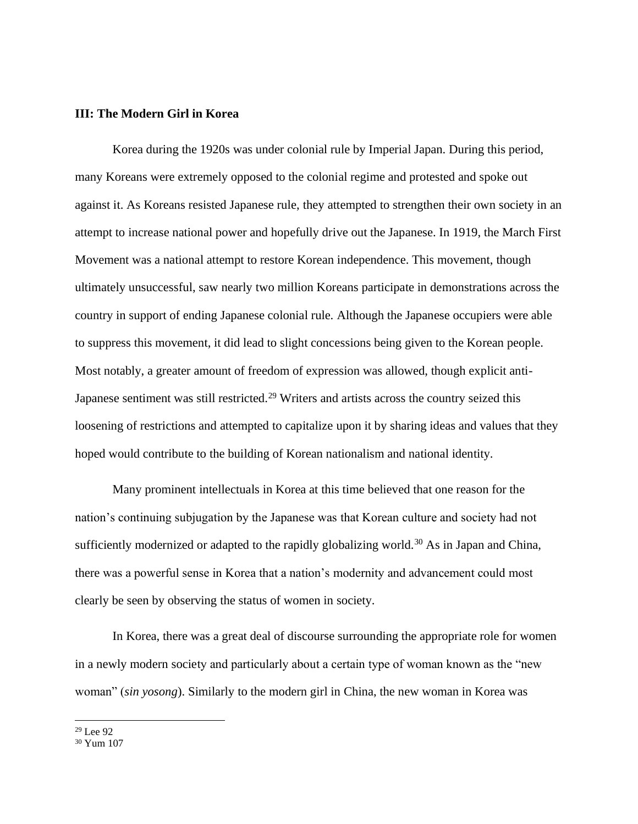#### **III: The Modern Girl in Korea**

Korea during the 1920s was under colonial rule by Imperial Japan. During this period, many Koreans were extremely opposed to the colonial regime and protested and spoke out against it. As Koreans resisted Japanese rule, they attempted to strengthen their own society in an attempt to increase national power and hopefully drive out the Japanese. In 1919, the March First Movement was a national attempt to restore Korean independence. This movement, though ultimately unsuccessful, saw nearly two million Koreans participate in demonstrations across the country in support of ending Japanese colonial rule. Although the Japanese occupiers were able to suppress this movement, it did lead to slight concessions being given to the Korean people. Most notably, a greater amount of freedom of expression was allowed, though explicit anti-Japanese sentiment was still restricted.<sup>29</sup> Writers and artists across the country seized this loosening of restrictions and attempted to capitalize upon it by sharing ideas and values that they hoped would contribute to the building of Korean nationalism and national identity.

Many prominent intellectuals in Korea at this time believed that one reason for the nation's continuing subjugation by the Japanese was that Korean culture and society had not sufficiently modernized or adapted to the rapidly globalizing world.<sup>30</sup> As in Japan and China, there was a powerful sense in Korea that a nation's modernity and advancement could most clearly be seen by observing the status of women in society.

In Korea, there was a great deal of discourse surrounding the appropriate role for women in a newly modern society and particularly about a certain type of woman known as the "new woman" (*sin yosong*). Similarly to the modern girl in China, the new woman in Korea was

<sup>29</sup> Lee 92

<sup>30</sup> Yum 107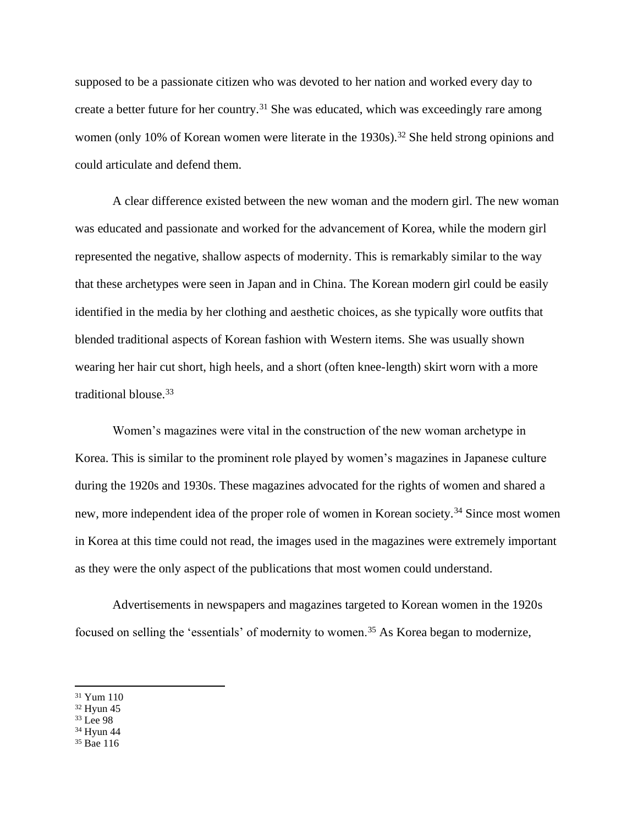supposed to be a passionate citizen who was devoted to her nation and worked every day to create a better future for her country.<sup>31</sup> She was educated, which was exceedingly rare among women (only 10% of Korean women were literate in the  $1930s$ ).<sup>32</sup> She held strong opinions and could articulate and defend them.

A clear difference existed between the new woman and the modern girl. The new woman was educated and passionate and worked for the advancement of Korea, while the modern girl represented the negative, shallow aspects of modernity. This is remarkably similar to the way that these archetypes were seen in Japan and in China. The Korean modern girl could be easily identified in the media by her clothing and aesthetic choices, as she typically wore outfits that blended traditional aspects of Korean fashion with Western items. She was usually shown wearing her hair cut short, high heels, and a short (often knee-length) skirt worn with a more traditional blouse.<sup>33</sup>

Women's magazines were vital in the construction of the new woman archetype in Korea. This is similar to the prominent role played by women's magazines in Japanese culture during the 1920s and 1930s. These magazines advocated for the rights of women and shared a new, more independent idea of the proper role of women in Korean society.<sup>34</sup> Since most women in Korea at this time could not read, the images used in the magazines were extremely important as they were the only aspect of the publications that most women could understand.

Advertisements in newspapers and magazines targeted to Korean women in the 1920s focused on selling the 'essentials' of modernity to women.<sup>35</sup> As Korea began to modernize,

- <sup>34</sup> Hyun 44
- <sup>35</sup> Bae 116

<sup>31</sup> Yum 110

<sup>32</sup> Hyun 45

<sup>&</sup>lt;sup>33</sup> Lee 98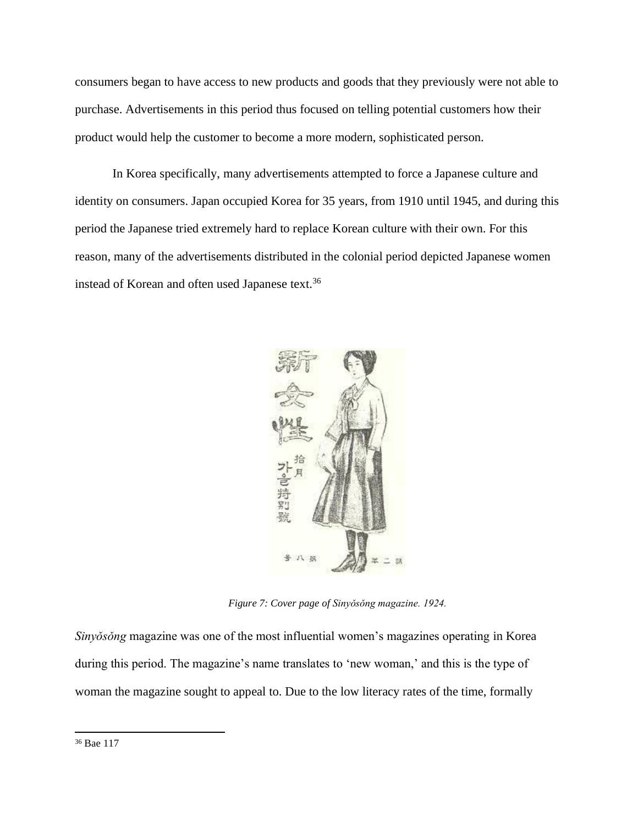consumers began to have access to new products and goods that they previously were not able to purchase. Advertisements in this period thus focused on telling potential customers how their product would help the customer to become a more modern, sophisticated person.

In Korea specifically, many advertisements attempted to force a Japanese culture and identity on consumers. Japan occupied Korea for 35 years, from 1910 until 1945, and during this period the Japanese tried extremely hard to replace Korean culture with their own. For this reason, many of the advertisements distributed in the colonial period depicted Japanese women instead of Korean and often used Japanese text.<sup>36</sup>



*Figure 7: Cover page of Sinyǒsǒng magazine. 1924.*

*Sinyǒsǒng* magazine was one of the most influential women's magazines operating in Korea during this period. The magazine's name translates to 'new woman,' and this is the type of woman the magazine sought to appeal to. Due to the low literacy rates of the time, formally

<sup>36</sup> Bae 117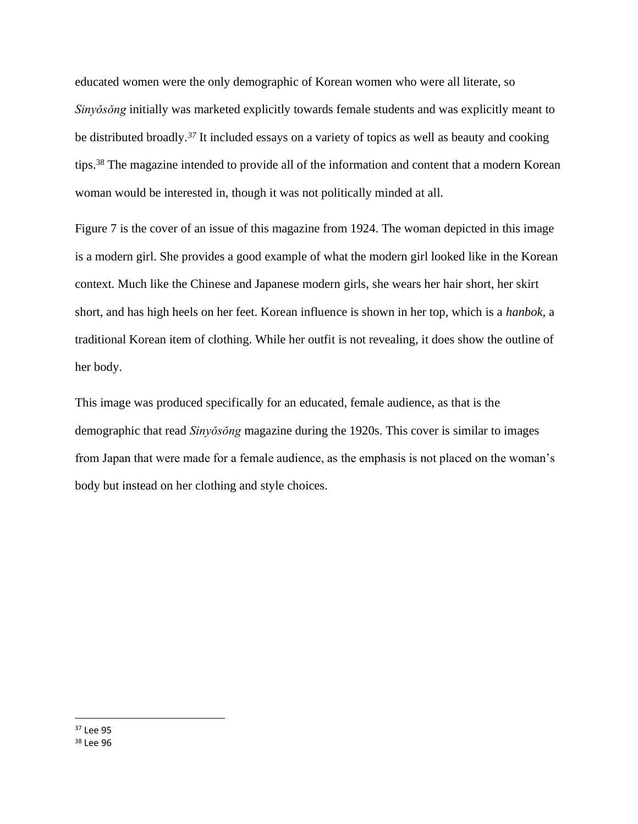educated women were the only demographic of Korean women who were all literate, so *Sinyǒsǒng* initially was marketed explicitly towards female students and was explicitly meant to be distributed broadly.*<sup>37</sup>* It included essays on a variety of topics as well as beauty and cooking tips.<sup>38</sup> The magazine intended to provide all of the information and content that a modern Korean woman would be interested in, though it was not politically minded at all.

Figure 7 is the cover of an issue of this magazine from 1924. The woman depicted in this image is a modern girl. She provides a good example of what the modern girl looked like in the Korean context. Much like the Chinese and Japanese modern girls, she wears her hair short, her skirt short, and has high heels on her feet. Korean influence is shown in her top, which is a *hanbok,* a traditional Korean item of clothing. While her outfit is not revealing, it does show the outline of her body.

This image was produced specifically for an educated, female audience, as that is the demographic that read *Sinyǒsǒng* magazine during the 1920s. This cover is similar to images from Japan that were made for a female audience, as the emphasis is not placed on the woman's body but instead on her clothing and style choices.

 $37$  Lee 95 <sup>38</sup> Lee 96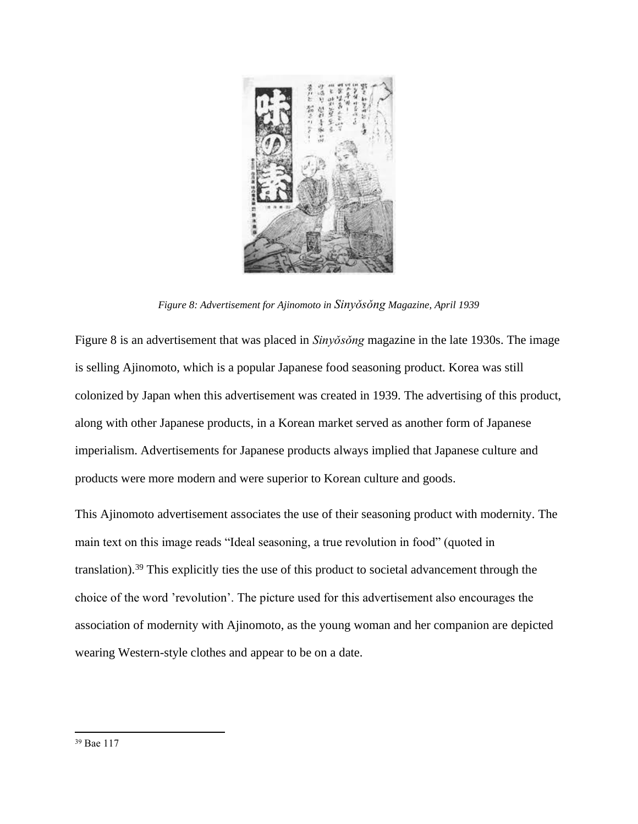

*Figure 8: Advertisement for Ajinomoto in Sinyǒsǒng Magazine, April 1939*

Figure 8 is an advertisement that was placed in *Sinyǒsǒng* magazine in the late 1930s. The image is selling Ajinomoto, which is a popular Japanese food seasoning product. Korea was still colonized by Japan when this advertisement was created in 1939. The advertising of this product, along with other Japanese products, in a Korean market served as another form of Japanese imperialism. Advertisements for Japanese products always implied that Japanese culture and products were more modern and were superior to Korean culture and goods.

This Ajinomoto advertisement associates the use of their seasoning product with modernity. The main text on this image reads "Ideal seasoning, a true revolution in food" (quoted in translation).<sup>39</sup> This explicitly ties the use of this product to societal advancement through the choice of the word 'revolution'. The picture used for this advertisement also encourages the association of modernity with Ajinomoto, as the young woman and her companion are depicted wearing Western-style clothes and appear to be on a date.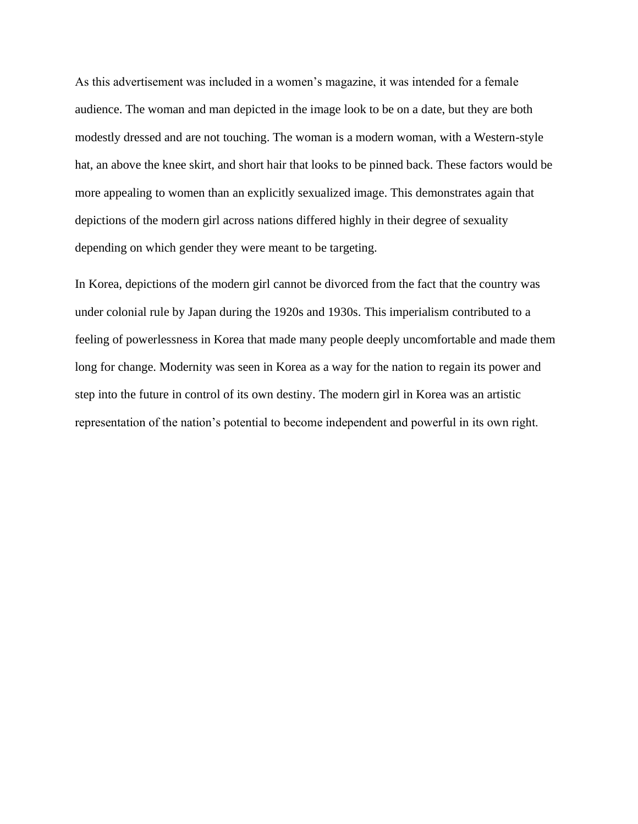As this advertisement was included in a women's magazine, it was intended for a female audience. The woman and man depicted in the image look to be on a date, but they are both modestly dressed and are not touching. The woman is a modern woman, with a Western-style hat, an above the knee skirt, and short hair that looks to be pinned back. These factors would be more appealing to women than an explicitly sexualized image. This demonstrates again that depictions of the modern girl across nations differed highly in their degree of sexuality depending on which gender they were meant to be targeting.

In Korea, depictions of the modern girl cannot be divorced from the fact that the country was under colonial rule by Japan during the 1920s and 1930s. This imperialism contributed to a feeling of powerlessness in Korea that made many people deeply uncomfortable and made them long for change. Modernity was seen in Korea as a way for the nation to regain its power and step into the future in control of its own destiny. The modern girl in Korea was an artistic representation of the nation's potential to become independent and powerful in its own right.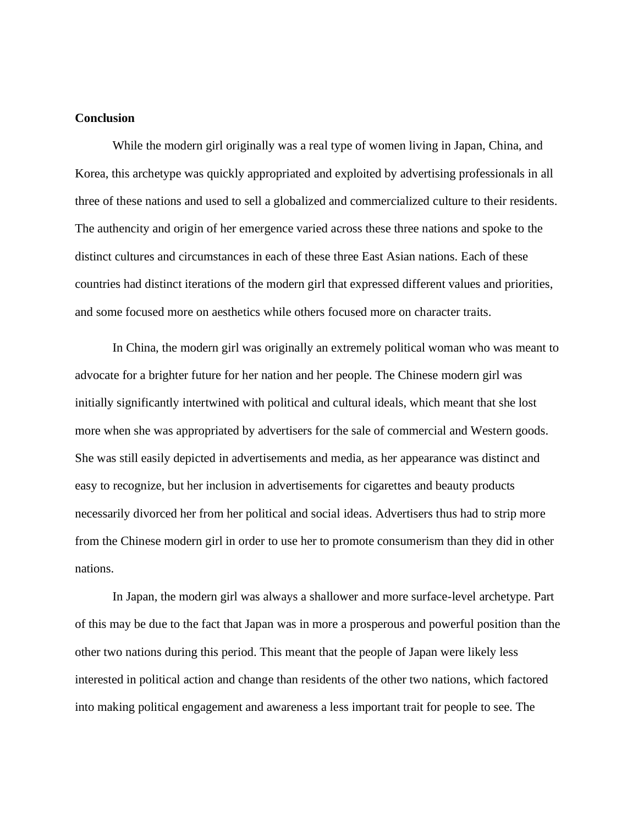#### **Conclusion**

While the modern girl originally was a real type of women living in Japan, China, and Korea, this archetype was quickly appropriated and exploited by advertising professionals in all three of these nations and used to sell a globalized and commercialized culture to their residents. The authencity and origin of her emergence varied across these three nations and spoke to the distinct cultures and circumstances in each of these three East Asian nations. Each of these countries had distinct iterations of the modern girl that expressed different values and priorities, and some focused more on aesthetics while others focused more on character traits.

In China, the modern girl was originally an extremely political woman who was meant to advocate for a brighter future for her nation and her people. The Chinese modern girl was initially significantly intertwined with political and cultural ideals, which meant that she lost more when she was appropriated by advertisers for the sale of commercial and Western goods. She was still easily depicted in advertisements and media, as her appearance was distinct and easy to recognize, but her inclusion in advertisements for cigarettes and beauty products necessarily divorced her from her political and social ideas. Advertisers thus had to strip more from the Chinese modern girl in order to use her to promote consumerism than they did in other nations.

In Japan, the modern girl was always a shallower and more surface-level archetype. Part of this may be due to the fact that Japan was in more a prosperous and powerful position than the other two nations during this period. This meant that the people of Japan were likely less interested in political action and change than residents of the other two nations, which factored into making political engagement and awareness a less important trait for people to see. The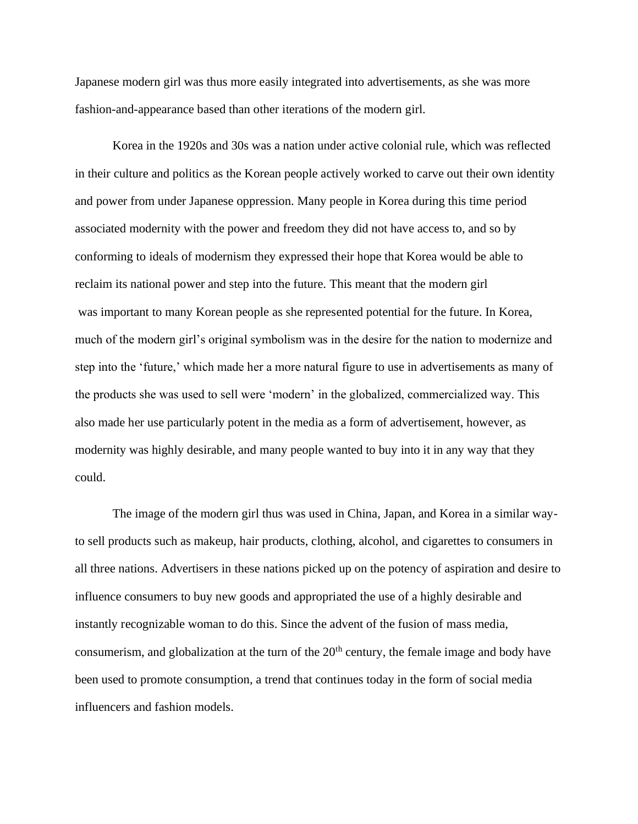Japanese modern girl was thus more easily integrated into advertisements, as she was more fashion-and-appearance based than other iterations of the modern girl.

Korea in the 1920s and 30s was a nation under active colonial rule, which was reflected in their culture and politics as the Korean people actively worked to carve out their own identity and power from under Japanese oppression. Many people in Korea during this time period associated modernity with the power and freedom they did not have access to, and so by conforming to ideals of modernism they expressed their hope that Korea would be able to reclaim its national power and step into the future. This meant that the modern girl was important to many Korean people as she represented potential for the future. In Korea, much of the modern girl's original symbolism was in the desire for the nation to modernize and step into the 'future,' which made her a more natural figure to use in advertisements as many of the products she was used to sell were 'modern' in the globalized, commercialized way. This also made her use particularly potent in the media as a form of advertisement, however, as modernity was highly desirable, and many people wanted to buy into it in any way that they could.

The image of the modern girl thus was used in China, Japan, and Korea in a similar wayto sell products such as makeup, hair products, clothing, alcohol, and cigarettes to consumers in all three nations. Advertisers in these nations picked up on the potency of aspiration and desire to influence consumers to buy new goods and appropriated the use of a highly desirable and instantly recognizable woman to do this. Since the advent of the fusion of mass media, consumerism, and globalization at the turn of the 20<sup>th</sup> century, the female image and body have been used to promote consumption, a trend that continues today in the form of social media influencers and fashion models.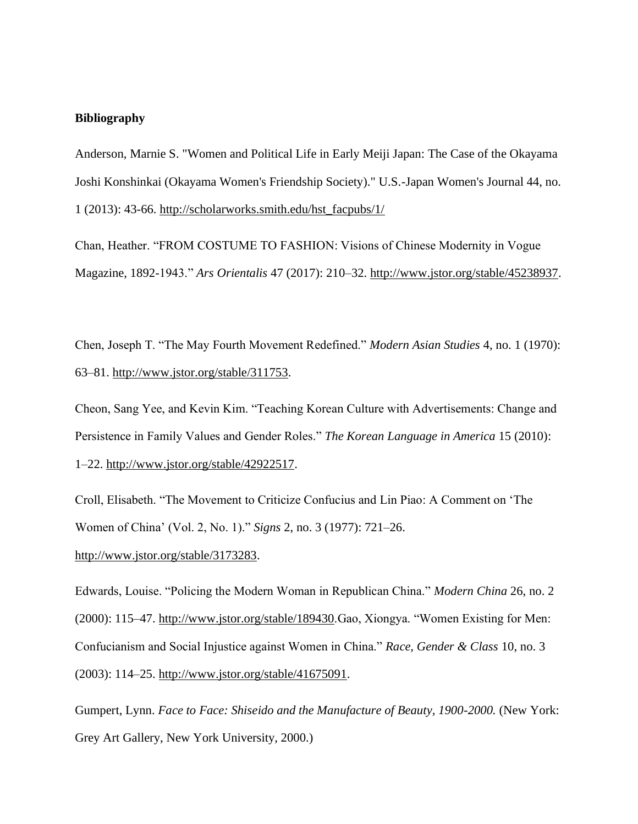#### **Bibliography**

Anderson, Marnie S. "Women and Political Life in Early Meiji Japan: The Case of the Okayama Joshi Konshinkai (Okayama Women's Friendship Society)." U.S.-Japan Women's Journal 44, no. 1 (2013): 43-66. [http://scholarworks.smith.edu/hst\\_facpubs/1/](http://scholarworks.smith.edu/hst_facpubs/1/)

Chan, Heather. "FROM COSTUME TO FASHION: Visions of Chinese Modernity in Vogue Magazine, 1892-1943." *Ars Orientalis* 47 (2017): 210–32. [http://www.jstor.org/stable/45238937.](http://www.jstor.org/stable/45238937)

Chen, Joseph T. "The May Fourth Movement Redefined." *Modern Asian Studies* 4, no. 1 (1970): 63–81. [http://www.jstor.org/stable/311753.](http://www.jstor.org/stable/311753)

Cheon, Sang Yee, and Kevin Kim. "Teaching Korean Culture with Advertisements: Change and Persistence in Family Values and Gender Roles." *The Korean Language in America* 15 (2010): 1–22. [http://www.jstor.org/stable/42922517.](http://www.jstor.org/stable/42922517)

Croll, Elisabeth. "The Movement to Criticize Confucius and Lin Piao: A Comment on 'The Women of China' (Vol. 2, No. 1)." *Signs* 2, no. 3 (1977): 721–26.

[http://www.jstor.org/stable/3173283.](http://www.jstor.org/stable/3173283)

Edwards, Louise. "Policing the Modern Woman in Republican China." *Modern China* 26, no. 2 (2000): 115–47. [http://www.jstor.org/stable/189430.](http://www.jstor.org/stable/189430)Gao, Xiongya. "Women Existing for Men: Confucianism and Social Injustice against Women in China." *Race, Gender & Class* 10, no. 3 (2003): 114–25. [http://www.jstor.org/stable/41675091.](http://www.jstor.org/stable/41675091)

Gumpert, Lynn. *Face to Face: Shiseido and the Manufacture of Beauty, 1900-2000.* (New York: Grey Art Gallery, New York University, 2000.)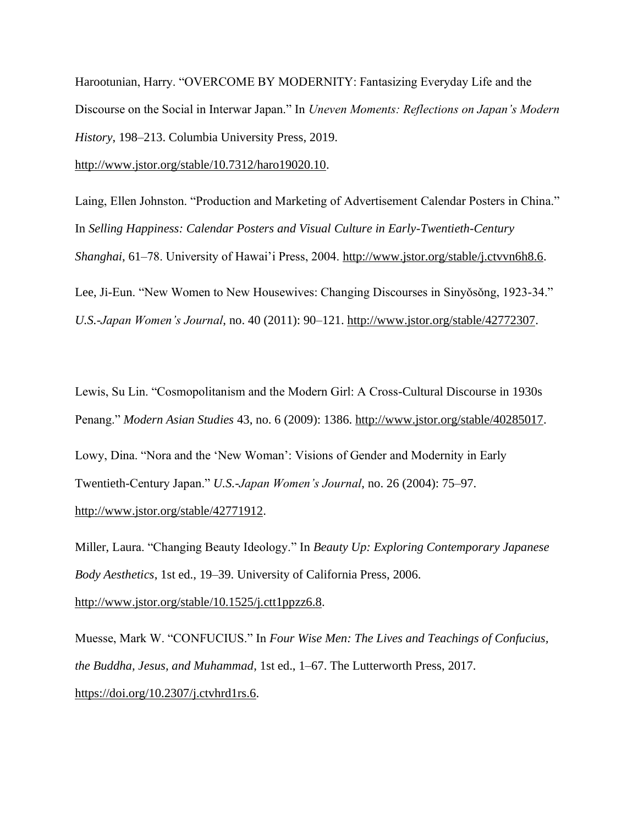Harootunian, Harry. "OVERCOME BY MODERNITY: Fantasizing Everyday Life and the Discourse on the Social in Interwar Japan." In *Uneven Moments: Reflections on Japan's Modern History*, 198–213. Columbia University Press, 2019.

[http://www.jstor.org/stable/10.7312/haro19020.10.](http://www.jstor.org/stable/10.7312/haro19020.10)

Laing, Ellen Johnston. "Production and Marketing of Advertisement Calendar Posters in China." In *Selling Happiness: Calendar Posters and Visual Culture in Early-Twentieth-Century Shanghai*, 61–78. University of Hawai'i Press, 2004. [http://www.jstor.org/stable/j.ctvvn6h8.6.](http://www.jstor.org/stable/j.ctvvn6h8.6) Lee, Ji-Eun. "New Women to New Housewives: Changing Discourses in Sinyosong, 1923-34." *U.S.-Japan Women's Journal*, no. 40 (2011): 90–121. [http://www.jstor.org/stable/42772307.](http://www.jstor.org/stable/42772307)

Lewis, Su Lin. "Cosmopolitanism and the Modern Girl: A Cross-Cultural Discourse in 1930s Penang." *Modern Asian Studies* 43, no. 6 (2009): 1386. [http://www.jstor.org/stable/40285017.](http://www.jstor.org/stable/40285017) Lowy, Dina. "Nora and the 'New Woman': Visions of Gender and Modernity in Early Twentieth-Century Japan." *U.S.-Japan Women's Journal*, no. 26 (2004): 75–97. [http://www.jstor.org/stable/42771912.](http://www.jstor.org/stable/42771912)

Miller, Laura. "Changing Beauty Ideology." In *Beauty Up: Exploring Contemporary Japanese Body Aesthetics*, 1st ed., 19–39. University of California Press, 2006.

[http://www.jstor.org/stable/10.1525/j.ctt1ppzz6.8.](http://www.jstor.org/stable/10.1525/j.ctt1ppzz6.8)

Muesse, Mark W. "CONFUCIUS." In *Four Wise Men: The Lives and Teachings of Confucius, the Buddha, Jesus, and Muhammad*, 1st ed., 1–67. The Lutterworth Press, 2017. [https://doi.org/10.2307/j.ctvhrd1rs.6.](https://doi.org/10.2307/j.ctvhrd1rs.6)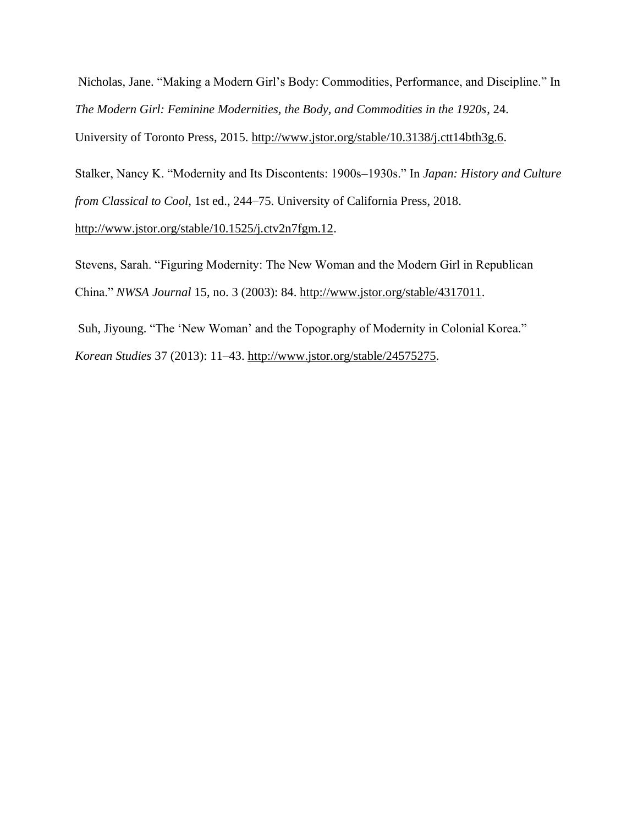Nicholas, Jane. "Making a Modern Girl's Body: Commodities, Performance, and Discipline." In *The Modern Girl: Feminine Modernities, the Body, and Commodities in the 1920s*, 24. University of Toronto Press, 2015. [http://www.jstor.org/stable/10.3138/j.ctt14bth3g.6.](http://www.jstor.org/stable/10.3138/j.ctt14bth3g.6)

Stalker, Nancy K. "Modernity and Its Discontents: 1900s–1930s." In *Japan: History and Culture from Classical to Cool*, 1st ed., 244–75. University of California Press, 2018.

[http://www.jstor.org/stable/10.1525/j.ctv2n7fgm.12.](http://www.jstor.org/stable/10.1525/j.ctv2n7fgm.12)

Stevens, Sarah. "Figuring Modernity: The New Woman and the Modern Girl in Republican China." *NWSA Journal* 15, no. 3 (2003): 84. [http://www.jstor.org/stable/4317011.](http://www.jstor.org/stable/4317011)

Suh, Jiyoung. "The 'New Woman' and the Topography of Modernity in Colonial Korea." *Korean Studies* 37 (2013): 11–43. [http://www.jstor.org/stable/24575275.](http://www.jstor.org/stable/24575275)